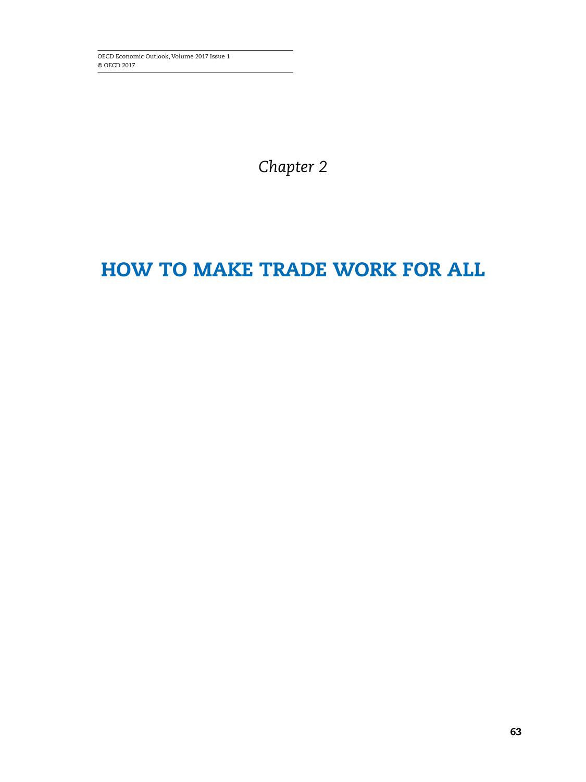OECD Economic Outlook, Volume 2017 Issue 1 © OECD 2017

*Chapter 2*

# **HOW TO MAKE TRADE WORK FOR ALL**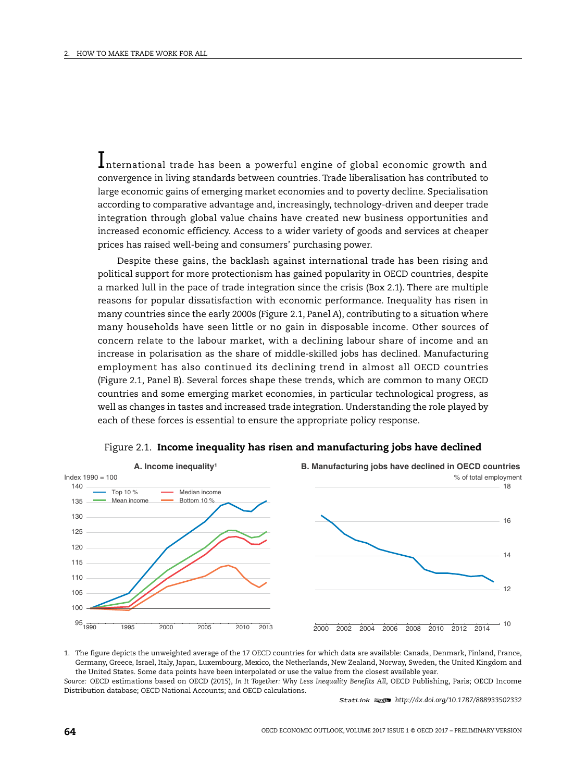International trade has been a powerful engine of global economic growth and convergence in living standards between countries. Trade liberalisation has contributed to large economic gains of emerging market economies and to poverty decline. Specialisation according to comparative advantage and, increasingly, technology-driven and deeper trade integration through global value chains have created new business opportunities and increased economic efficiency. Access to a wider variety of goods and services at cheaper prices has raised well-being and consumers' purchasing power.

Despite these gains, the backlash against international trade has been rising and political support for more protectionism has gained popularity in OECD countries, despite a marked lull in the pace of trade integration since the crisis (Box 2.1). There are multiple reasons for popular dissatisfaction with economic performance. Inequality has risen in many countries since the early 2000s (Figure 2.1, Panel A), contributing to a situation where many households have seen little or no gain in disposable income. Other sources of concern relate to the labour market, with a declining labour share of income and an increase in polarisation as the share of middle-skilled jobs has declined. Manufacturing employment has also continued its declining trend in almost all OECD countries (Figure 2.1, Panel B). Several forces shape these trends, which are common to many OECD countries and some emerging market economies, in particular technological progress, as well as changes in tastes and increased trade integration. Understanding the role played by each of these forces is essential to ensure the appropriate policy response.





1. The figure depicts the unweighted average of the 17 OECD countries for which data are available: Canada, Denmark, Finland, France, Germany, Greece, Israel, Italy, Japan, Luxembourg, Mexico, the Netherlands, New Zealand, Norway, Sweden, the United Kingdom and the United States. Some data points have been interpolated or use the value from the closest available year.

*Source:* OECD estimations based on OECD (2015), *In It Together: Why Less Inequality Benefits All*, OECD Publishing, Paris; OECD Income Distribution database; OECD National Accounts; and OECD calculations.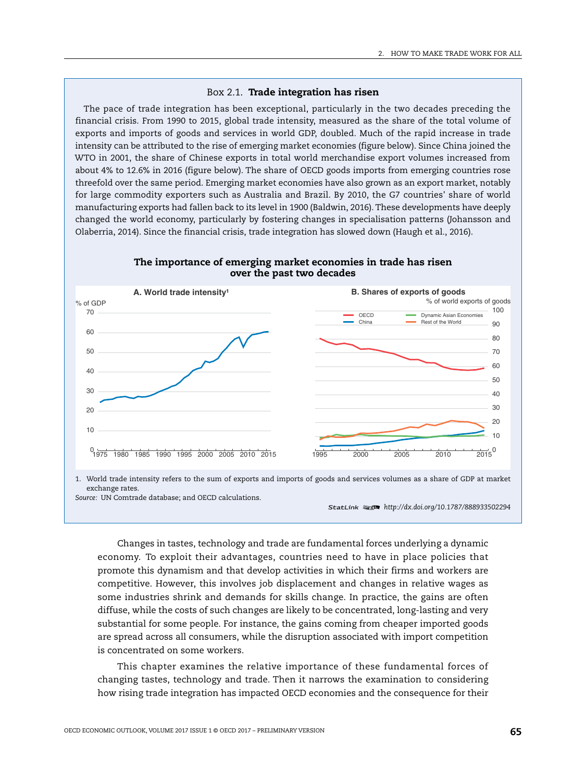## Box 2.1. **Trade integration has risen**

The pace of trade integration has been exceptional, particularly in the two decades preceding the financial crisis. From 1990 to 2015, global trade intensity, measured as the share of the total volume of exports and imports of goods and services in world GDP, doubled. Much of the rapid increase in trade intensity can be attributed to the rise of emerging market economies (figure below). Since China joined the WTO in 2001, the share of Chinese exports in total world merchandise export volumes increased from about 4% to 12.6% in 2016 (figure below). The share of OECD goods imports from emerging countries rose threefold over the same period. Emerging market economies have also grown as an export market, notably for large commodity exporters such as Australia and Brazil. By 2010, the G7 countries' share of world manufacturing exports had fallen back to its level in 1900 (Baldwin, 2016). These developments have deeply changed the world economy, particularly by fostering changes in specialisation patterns (Johansson and Olaberria, 2014). Since the financial crisis, trade integration has slowed down (Haugh et al., 2016).



**The importance of emerging market economies in trade has risen over the past two decades**

Changes in tastes, technology and trade are fundamental forces underlying a dynamic economy. To exploit their advantages, countries need to have in place policies that promote this dynamism and that develop activities in which their firms and workers are competitive. However, this involves job displacement and changes in relative wages as some industries shrink and demands for skills change. In practice, the gains are often diffuse, while the costs of such changes are likely to be concentrated, long-lasting and very substantial for some people. For instance, the gains coming from cheaper imported goods are spread across all consumers, while the disruption associated with import competition is concentrated on some workers.

This chapter examines the relative importance of these fundamental forces of changing tastes, technology and trade. Then it narrows the examination to considering how rising trade integration has impacted OECD economies and the consequence for their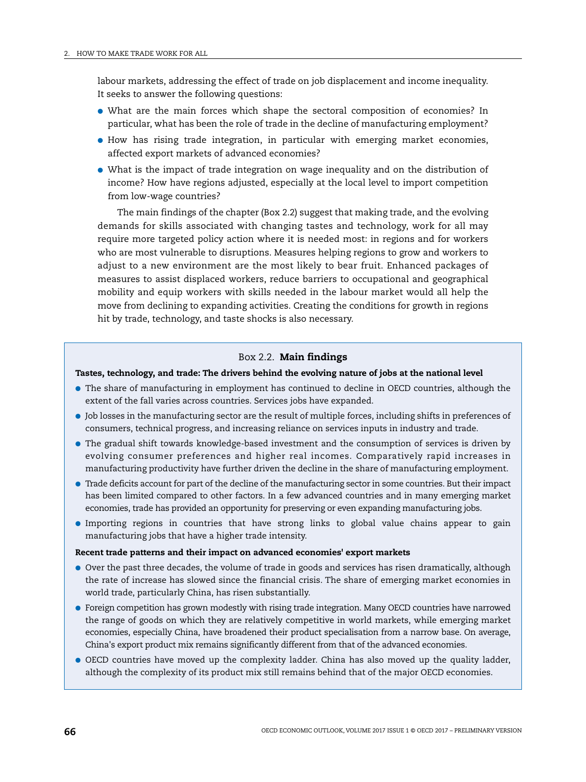labour markets, addressing the effect of trade on job displacement and income inequality. It seeks to answer the following questions:

- What are the main forces which shape the sectoral composition of economies? In particular, what has been the role of trade in the decline of manufacturing employment?
- How has rising trade integration, in particular with emerging market economies, affected export markets of advanced economies?
- What is the impact of trade integration on wage inequality and on the distribution of income? How have regions adjusted, especially at the local level to import competition from low-wage countries?

The main findings of the chapter (Box 2.2) suggest that making trade, and the evolving demands for skills associated with changing tastes and technology, work for all may require more targeted policy action where it is needed most: in regions and for workers who are most vulnerable to disruptions. Measures helping regions to grow and workers to adjust to a new environment are the most likely to bear fruit. Enhanced packages of measures to assist displaced workers, reduce barriers to occupational and geographical mobility and equip workers with skills needed in the labour market would all help the move from declining to expanding activities. Creating the conditions for growth in regions hit by trade, technology, and taste shocks is also necessary.

#### Box 2.2. **Main findings**

#### **Tastes, technology, and trade: The drivers behind the evolving nature of jobs at the national level**

- The share of manufacturing in employment has continued to decline in OECD countries, although the extent of the fall varies across countries. Services jobs have expanded.
- Job losses in the manufacturing sector are the result of multiple forces, including shifts in preferences of consumers, technical progress, and increasing reliance on services inputs in industry and trade.
- The gradual shift towards knowledge-based investment and the consumption of services is driven by evolving consumer preferences and higher real incomes. Comparatively rapid increases in manufacturing productivity have further driven the decline in the share of manufacturing employment.
- Trade deficits account for part of the decline of the manufacturing sector in some countries. But their impact has been limited compared to other factors. In a few advanced countries and in many emerging market economies, trade has provided an opportunity for preserving or even expanding manufacturing jobs.
- Importing regions in countries that have strong links to global value chains appear to gain manufacturing jobs that have a higher trade intensity.

#### **Recent trade patterns and their impact on advanced economies' export markets**

- Over the past three decades, the volume of trade in goods and services has risen dramatically, although the rate of increase has slowed since the financial crisis. The share of emerging market economies in world trade, particularly China, has risen substantially.
- Foreign competition has grown modestly with rising trade integration. Many OECD countries have narrowed the range of goods on which they are relatively competitive in world markets, while emerging market economies, especially China, have broadened their product specialisation from a narrow base. On average, China's export product mix remains significantly different from that of the advanced economies.
- OECD countries have moved up the complexity ladder. China has also moved up the quality ladder, although the complexity of its product mix still remains behind that of the major OECD economies.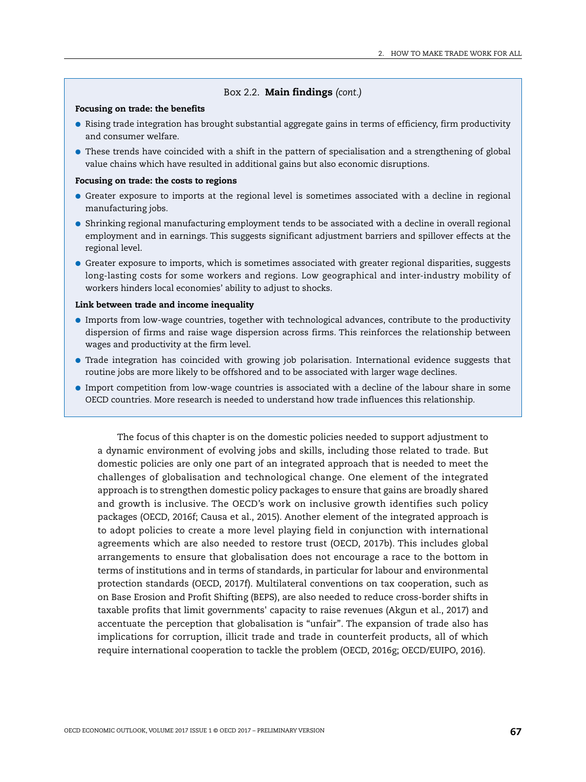#### Box 2.2. **Main findings** *(cont.)*

#### **Focusing on trade: the benefits**

- Rising trade integration has brought substantial aggregate gains in terms of efficiency, firm productivity and consumer welfare.
- These trends have coincided with a shift in the pattern of specialisation and a strengthening of global value chains which have resulted in additional gains but also economic disruptions.

#### **Focusing on trade: the costs to regions**

- Greater exposure to imports at the regional level is sometimes associated with a decline in regional manufacturing jobs.
- Shrinking regional manufacturing employment tends to be associated with a decline in overall regional employment and in earnings. This suggests significant adjustment barriers and spillover effects at the regional level.
- Greater exposure to imports, which is sometimes associated with greater regional disparities, suggests long-lasting costs for some workers and regions. Low geographical and inter-industry mobility of workers hinders local economies' ability to adjust to shocks.

#### **Link between trade and income inequality**

- Imports from low-wage countries, together with technological advances, contribute to the productivity dispersion of firms and raise wage dispersion across firms. This reinforces the relationship between wages and productivity at the firm level.
- Trade integration has coincided with growing job polarisation. International evidence suggests that routine jobs are more likely to be offshored and to be associated with larger wage declines.
- Import competition from low-wage countries is associated with a decline of the labour share in some OECD countries. More research is needed to understand how trade influences this relationship.

The focus of this chapter is on the domestic policies needed to support adjustment to a dynamic environment of evolving jobs and skills, including those related to trade. But domestic policies are only one part of an integrated approach that is needed to meet the challenges of globalisation and technological change. One element of the integrated approach is to strengthen domestic policy packages to ensure that gains are broadly shared and growth is inclusive. The OECD's work on inclusive growth identifies such policy packages (OECD, 2016f; Causa et al., 2015). Another element of the integrated approach is to adopt policies to create a more level playing field in conjunction with international agreements which are also needed to restore trust (OECD, 2017b). This includes global arrangements to ensure that globalisation does not encourage a race to the bottom in terms of institutions and in terms of standards, in particular for labour and environmental protection standards (OECD, 2017f). Multilateral conventions on tax cooperation, such as on Base Erosion and Profit Shifting (BEPS), are also needed to reduce cross-border shifts in taxable profits that limit governments' capacity to raise revenues (Akgun et al., 2017) and accentuate the perception that globalisation is "unfair''. The expansion of trade also has implications for corruption, illicit trade and trade in counterfeit products, all of which require international cooperation to tackle the problem (OECD, 2016g; OECD/EUIPO, 2016).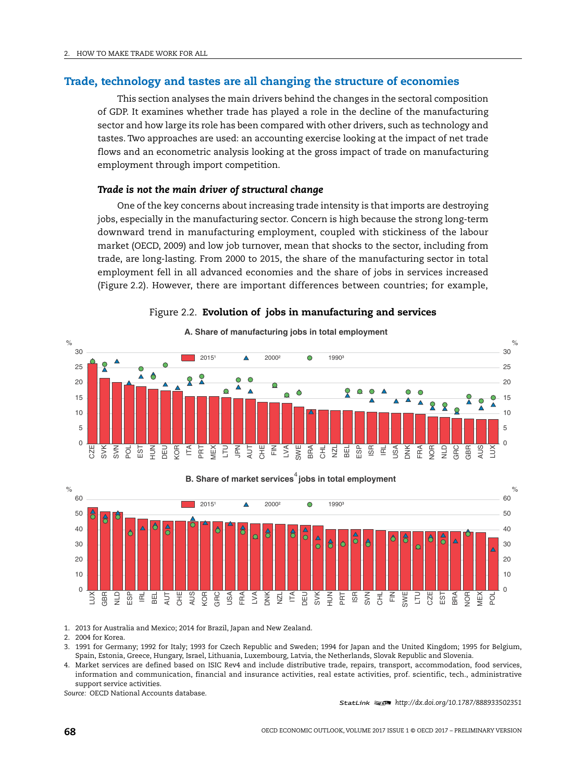## **Trade, technology and tastes are all changing the structure of economies**

This section analyses the main drivers behind the changes in the sectoral composition of GDP. It examines whether trade has played a role in the decline of the manufacturing sector and how large its role has been compared with other drivers, such as technology and tastes. Two approaches are used: an accounting exercise looking at the impact of net trade flows and an econometric analysis looking at the gross impact of trade on manufacturing employment through import competition.

#### *Trade is not the main driver of structural change*

One of the key concerns about increasing trade intensity is that imports are destroying jobs, especially in the manufacturing sector. Concern is high because the strong long-term downward trend in manufacturing employment, coupled with stickiness of the labour market (OECD, 2009) and low job turnover, mean that shocks to the sector, including from trade, are long-lasting. From 2000 to 2015, the share of the manufacturing sector in total employment fell in all advanced economies and the share of jobs in services increased (Figure 2.2). However, there are important differences between countries; for example,

## Figure 2.2. **Evolution of jobs in manufacturing and services**





1. 2013 for Australia and Mexico; 2014 for Brazil, Japan and New Zealand.

2. 2004 for Korea.

3. 1991 for Germany; 1992 for Italy; 1993 for Czech Republic and Sweden; 1994 for Japan and the United Kingdom; 1995 for Belgium, Spain, Estonia, Greece, Hungary, Israel, Lithuania, Luxembourg, Latvia, the Netherlands, Slovak Republic and Slovenia.

4. Market services are defined based on ISIC Rev4 and include distributive trade, repairs, transport, accommodation, food services, information and communication, financial and insurance activities, real estate activities, prof. scientific, tech., administrative support service activities.

*Source:* OECD National Accounts database.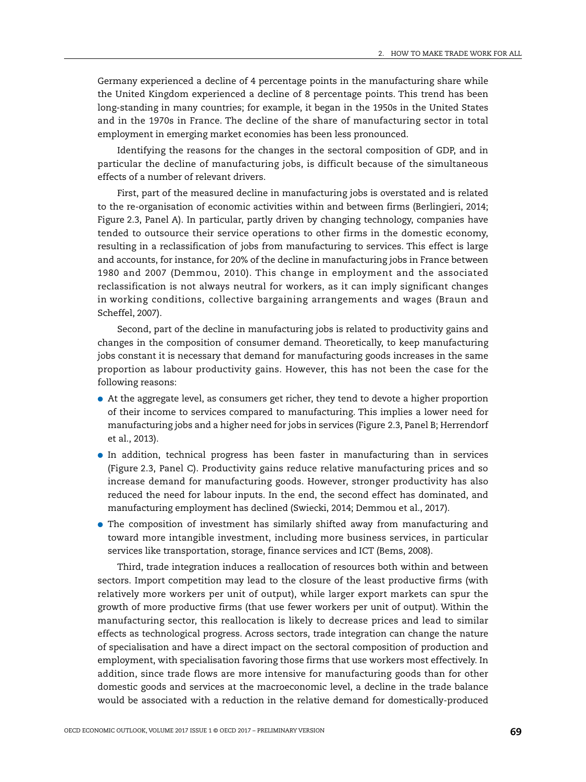Germany experienced a decline of 4 percentage points in the manufacturing share while the United Kingdom experienced a decline of 8 percentage points. This trend has been long-standing in many countries; for example, it began in the 1950s in the United States and in the 1970s in France. The decline of the share of manufacturing sector in total employment in emerging market economies has been less pronounced.

Identifying the reasons for the changes in the sectoral composition of GDP, and in particular the decline of manufacturing jobs, is difficult because of the simultaneous effects of a number of relevant drivers.

First, part of the measured decline in manufacturing jobs is overstated and is related to the re-organisation of economic activities within and between firms (Berlingieri, 2014; Figure 2.3, Panel A). In particular, partly driven by changing technology, companies have tended to outsource their service operations to other firms in the domestic economy, resulting in a reclassification of jobs from manufacturing to services. This effect is large and accounts, for instance, for 20% of the decline in manufacturing jobs in France between 1980 and 2007 (Demmou, 2010). This change in employment and the associated reclassification is not always neutral for workers, as it can imply significant changes in working conditions, collective bargaining arrangements and wages (Braun and Scheffel, 2007).

Second, part of the decline in manufacturing jobs is related to productivity gains and changes in the composition of consumer demand. Theoretically, to keep manufacturing jobs constant it is necessary that demand for manufacturing goods increases in the same proportion as labour productivity gains. However, this has not been the case for the following reasons:

- At the aggregate level, as consumers get richer, they tend to devote a higher proportion of their income to services compared to manufacturing. This implies a lower need for manufacturing jobs and a higher need for jobs in services (Figure 2.3, Panel B; Herrendorf et al., 2013).
- In addition, technical progress has been faster in manufacturing than in services (Figure 2.3, Panel C). Productivity gains reduce relative manufacturing prices and so increase demand for manufacturing goods. However, stronger productivity has also reduced the need for labour inputs. In the end, the second effect has dominated, and manufacturing employment has declined (Swiecki, 2014; Demmou et al., 2017).
- The composition of investment has similarly shifted away from manufacturing and toward more intangible investment, including more business services, in particular services like transportation, storage, finance services and ICT (Bems, 2008).

Third, trade integration induces a reallocation of resources both within and between sectors. Import competition may lead to the closure of the least productive firms (with relatively more workers per unit of output), while larger export markets can spur the growth of more productive firms (that use fewer workers per unit of output). Within the manufacturing sector, this reallocation is likely to decrease prices and lead to similar effects as technological progress. Across sectors, trade integration can change the nature of specialisation and have a direct impact on the sectoral composition of production and employment, with specialisation favoring those firms that use workers most effectively. In addition, since trade flows are more intensive for manufacturing goods than for other domestic goods and services at the macroeconomic level, a decline in the trade balance would be associated with a reduction in the relative demand for domestically-produced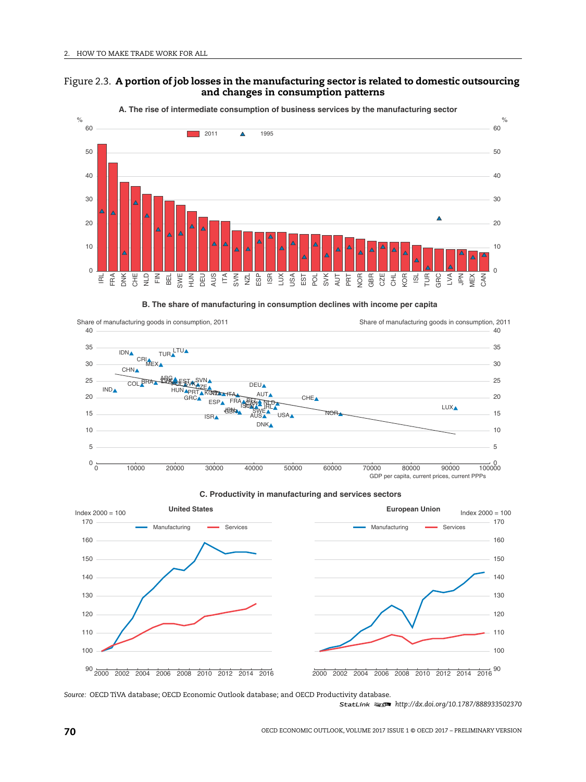



**B. The share of manufacturing in consumption declines with income per capita**





**C. Productivity in manufacturing and services sectors**

*Source:* OECD TiVA database; OECD Economic Outlook database; and OECD Productivity database.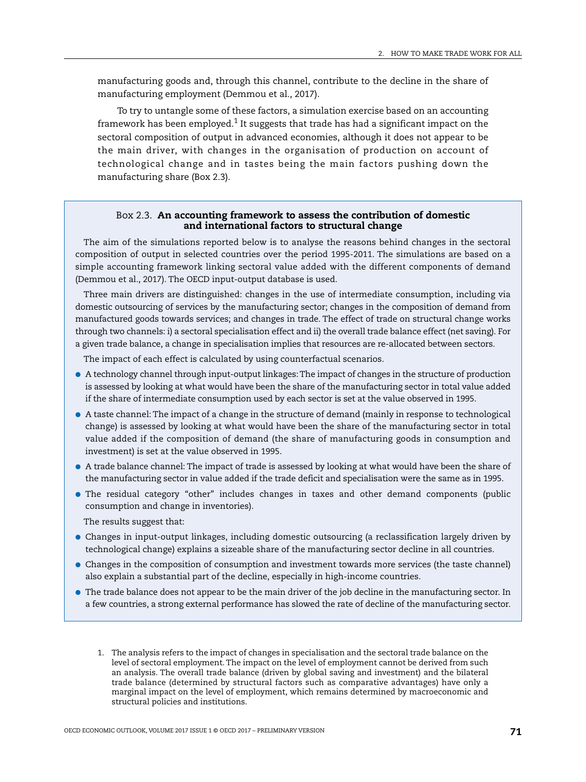manufacturing goods and, through this channel, contribute to the decline in the share of manufacturing employment (Demmou et al., 2017).

To try to untangle some of these factors, a simulation exercise based on an accounting framework has been employed.<sup>1</sup> It suggests that trade has had a significant impact on the sectoral composition of output in advanced economies, although it does not appear to be the main driver, with changes in the organisation of production on account of technological change and in tastes being the main factors pushing down the manufacturing share (Box 2.3).

### Box 2.3. **An accounting framework to assess the contribution of domestic and international factors to structural change**

The aim of the simulations reported below is to analyse the reasons behind changes in the sectoral composition of output in selected countries over the period 1995-2011. The simulations are based on a simple accounting framework linking sectoral value added with the different components of demand (Demmou et al., 2017). The OECD input-output database is used.

Three main drivers are distinguished: changes in the use of intermediate consumption, including via domestic outsourcing of services by the manufacturing sector; changes in the composition of demand from manufactured goods towards services; and changes in trade. The effect of trade on structural change works through two channels: i) a sectoral specialisation effect and ii) the overall trade balance effect (net saving). For a given trade balance, a change in specialisation implies that resources are re-allocated between sectors.

The impact of each effect is calculated by using counterfactual scenarios.

- A technology channel through input-output linkages: The impact of changes in the structure of production is assessed by looking at what would have been the share of the manufacturing sector in total value added if the share of intermediate consumption used by each sector is set at the value observed in 1995.
- A taste channel: The impact of a change in the structure of demand (mainly in response to technological change) is assessed by looking at what would have been the share of the manufacturing sector in total value added if the composition of demand (the share of manufacturing goods in consumption and investment) is set at the value observed in 1995.
- A trade balance channel: The impact of trade is assessed by looking at what would have been the share of the manufacturing sector in value added if the trade deficit and specialisation were the same as in 1995.
- The residual category "other" includes changes in taxes and other demand components (public consumption and change in inventories).

The results suggest that:

- Changes in input-output linkages, including domestic outsourcing (a reclassification largely driven by technological change) explains a sizeable share of the manufacturing sector decline in all countries.
- Changes in the composition of consumption and investment towards more services (the taste channel) also explain a substantial part of the decline, especially in high-income countries.
- The trade balance does not appear to be the main driver of the job decline in the manufacturing sector. In a few countries, a strong external performance has slowed the rate of decline of the manufacturing sector.

<sup>1.</sup> The analysis refers to the impact of changes in specialisation and the sectoral trade balance on the level of sectoral employment. The impact on the level of employment cannot be derived from such an analysis. The overall trade balance (driven by global saving and investment) and the bilateral trade balance (determined by structural factors such as comparative advantages) have only a marginal impact on the level of employment, which remains determined by macroeconomic and structural policies and institutions.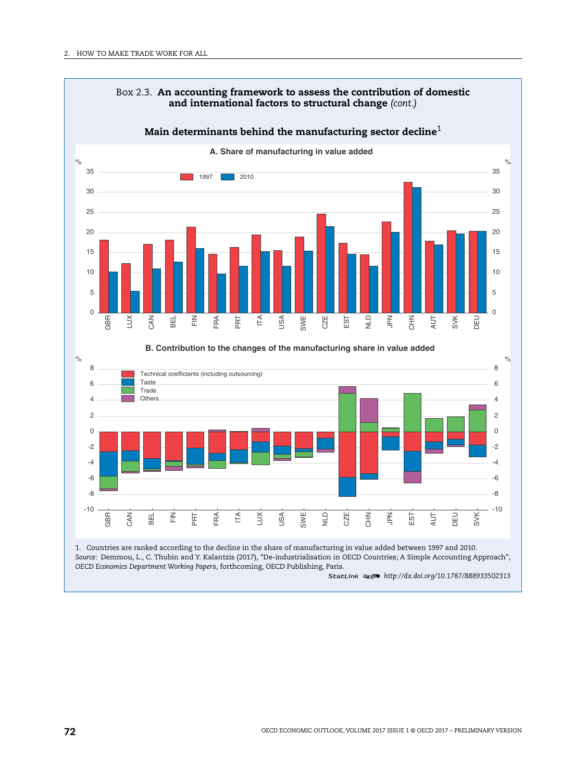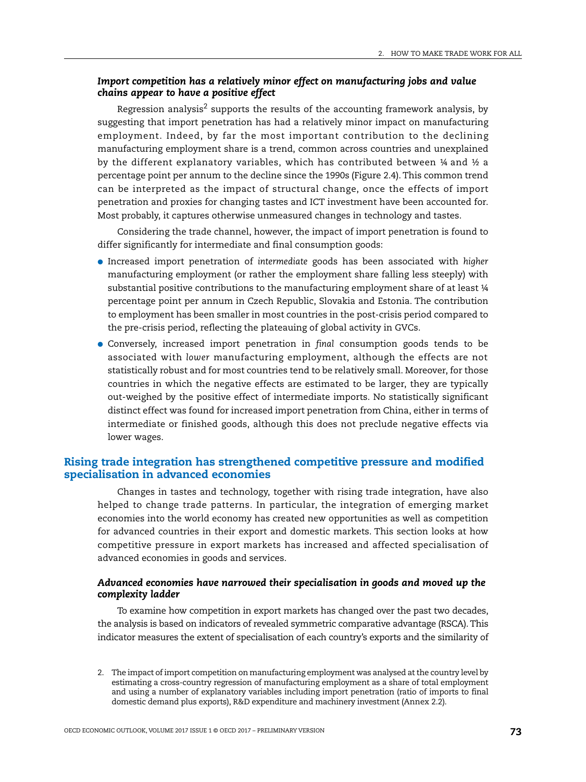## *Import competition has a relatively minor effect on manufacturing jobs and value chains appear to have a positive effect*

Regression analysis<sup>2</sup> supports the results of the accounting framework analysis, by suggesting that import penetration has had a relatively minor impact on manufacturing employment. Indeed, by far the most important contribution to the declining manufacturing employment share is a trend, common across countries and unexplained by the different explanatory variables, which has contributed between ¼ and ½ a percentage point per annum to the decline since the 1990s (Figure 2.4). This common trend can be interpreted as the impact of structural change, once the effects of import penetration and proxies for changing tastes and ICT investment have been accounted for. Most probably, it captures otherwise unmeasured changes in technology and tastes.

Considering the trade channel, however, the impact of import penetration is found to differ significantly for intermediate and final consumption goods:

- Increased import penetration of *intermediate* goods has been associated with *higher* manufacturing employment (or rather the employment share falling less steeply) with substantial positive contributions to the manufacturing employment share of at least ¼ percentage point per annum in Czech Republic, Slovakia and Estonia. The contribution to employment has been smaller in most countries in the post-crisis period compared to the pre-crisis period, reflecting the plateauing of global activity in GVCs.
- Conversely, increased import penetration in *final* consumption goods tends to be associated with *lower* manufacturing employment, although the effects are not statistically robust and for most countries tend to be relatively small. Moreover, for those countries in which the negative effects are estimated to be larger, they are typically out-weighed by the positive effect of intermediate imports. No statistically significant distinct effect was found for increased import penetration from China, either in terms of intermediate or finished goods, although this does not preclude negative effects via lower wages.

## **Rising trade integration has strengthened competitive pressure and modified specialisation in advanced economies**

Changes in tastes and technology, together with rising trade integration, have also helped to change trade patterns. In particular, the integration of emerging market economies into the world economy has created new opportunities as well as competition for advanced countries in their export and domestic markets. This section looks at how competitive pressure in export markets has increased and affected specialisation of advanced economies in goods and services.

## *Advanced economies have narrowed their specialisation in goods and moved up the complexity ladder*

To examine how competition in export markets has changed over the past two decades, the analysis is based on indicators of revealed symmetric comparative advantage (RSCA). This indicator measures the extent of specialisation of each country's exports and the similarity of

<sup>2.</sup> The impact of import competition on manufacturing employment was analysed at the country level by estimating a cross-country regression of manufacturing employment as a share of total employment and using a number of explanatory variables including import penetration (ratio of imports to final domestic demand plus exports), R&D expenditure and machinery investment (Annex 2.2).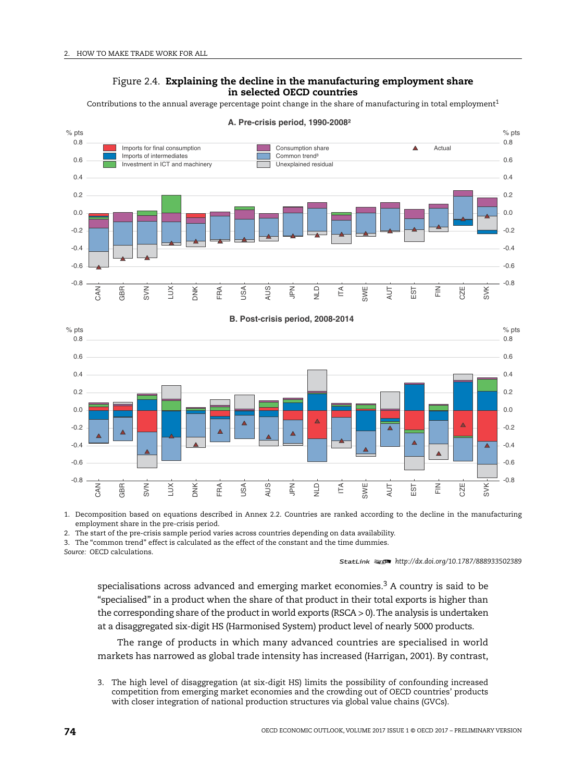#### Figure 2.4. **Explaining the decline in the manufacturing employment share in selected OECD countries**

Contributions to the annual average percentage point change in the share of manufacturing in total employment<sup>1</sup>





1. Decomposition based on equations described in Annex 2.2. Countries are ranked according to the decline in the manufacturing employment share in the pre-crisis period.

2. The start of the pre-crisis sample period varies across countries depending on data availability.

3. The "common trend" effect is calculated as the effect of the constant and the time dummies.

*Source:* OECD calculations.

1 2 *<http://dx.doi.org/10.1787/888933502389>*

specialisations across advanced and emerging market economies. $3$  A country is said to be "specialised" in a product when the share of that product in their total exports is higher than the corresponding share of the product in world exports (RSCA > 0).The analysis is undertaken at a disaggregated six-digit HS (Harmonised System) product level of nearly 5000 products.

The range of products in which many advanced countries are specialised in world markets has narrowed as global trade intensity has increased (Harrigan, 2001). By contrast,

3. The high level of disaggregation (at six-digit HS) limits the possibility of confounding increased competition from emerging market economies and the crowding out of OECD countries' products with closer integration of national production structures via global value chains (GVCs).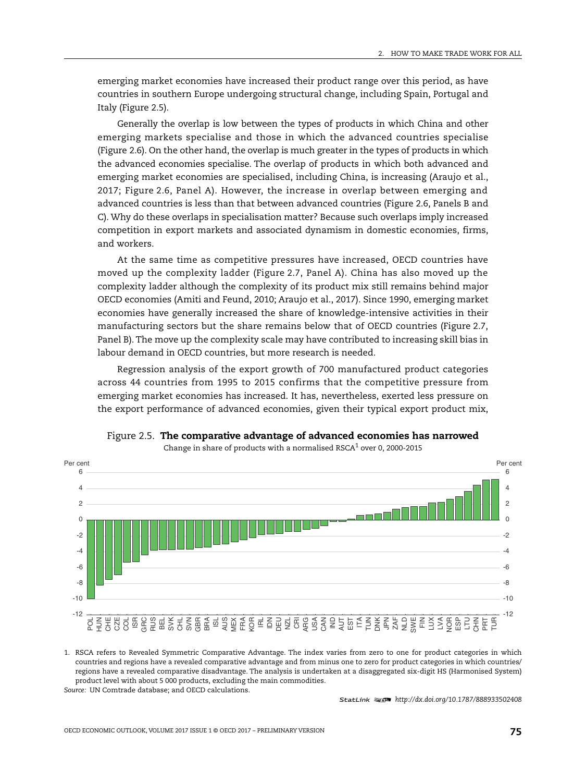emerging market economies have increased their product range over this period, as have countries in southern Europe undergoing structural change, including Spain, Portugal and Italy (Figure 2.5).

Generally the overlap is low between the types of products in which China and other emerging markets specialise and those in which the advanced countries specialise (Figure 2.6). On the other hand, the overlap is much greater in the types of products in which the advanced economies specialise. The overlap of products in which both advanced and emerging market economies are specialised, including China, is increasing (Araujo et al., 2017; Figure 2.6, Panel A). However, the increase in overlap between emerging and advanced countries is less than that between advanced countries (Figure 2.6, Panels B and C). Why do these overlaps in specialisation matter? Because such overlaps imply increased competition in export markets and associated dynamism in domestic economies, firms, and workers.

At the same time as competitive pressures have increased, OECD countries have moved up the complexity ladder (Figure 2.7, Panel A). China has also moved up the complexity ladder although the complexity of its product mix still remains behind major OECD economies (Amiti and Feund, 2010; Araujo et al., 2017). Since 1990, emerging market economies have generally increased the share of knowledge-intensive activities in their manufacturing sectors but the share remains below that of OECD countries (Figure 2.7, Panel B). The move up the complexity scale may have contributed to increasing skill bias in labour demand in OECD countries, but more research is needed.

Regression analysis of the export growth of 700 manufactured product categories across 44 countries from 1995 to 2015 confirms that the competitive pressure from emerging market economies has increased. It has, nevertheless, exerted less pressure on the export performance of advanced economies, given their typical export product mix,





1. RSCA refers to Revealed Symmetric Comparative Advantage. The index varies from zero to one for product categories in which countries and regions have a revealed comparative advantage and from minus one to zero for product categories in which countries/ regions have a revealed comparative disadvantage. The analysis is undertaken at a disaggregated six-digit HS (Harmonised System) product level with about 5 000 products, excluding the main commodities.

*Source:* UN Comtrade database; and OECD calculations.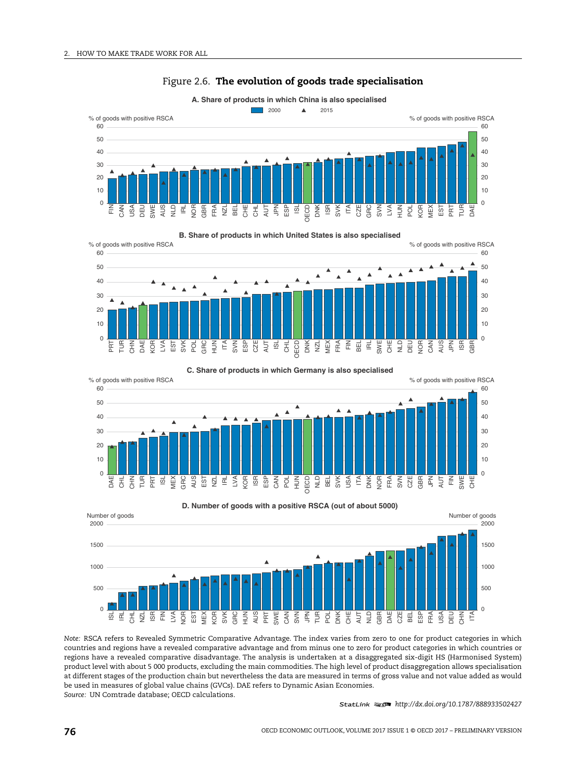

#### Figure 2.6. **The evolution of goods trade specialisation**



**B. Share of products in which United States is also specialised**





*Note:* RSCA refers to Revealed Symmetric Comparative Advantage. The index varies from zero to one for product categories in which countries and regions have a revealed comparative advantage and from minus one to zero for product categories in which countries or regions have a revealed comparative disadvantage. The analysis is undertaken at a disaggregated six-digit HS (Harmonised System) product level with about 5 000 products, excluding the main commodities. The high level of product disaggregation allows specialisation at different stages of the production chain but nevertheless the data are measured in terms of gross value and not value added as would be used in measures of global value chains (GVCs). DAE refers to Dynamic Asian Economies. *Source:* UN Comtrade database; OECD calculations.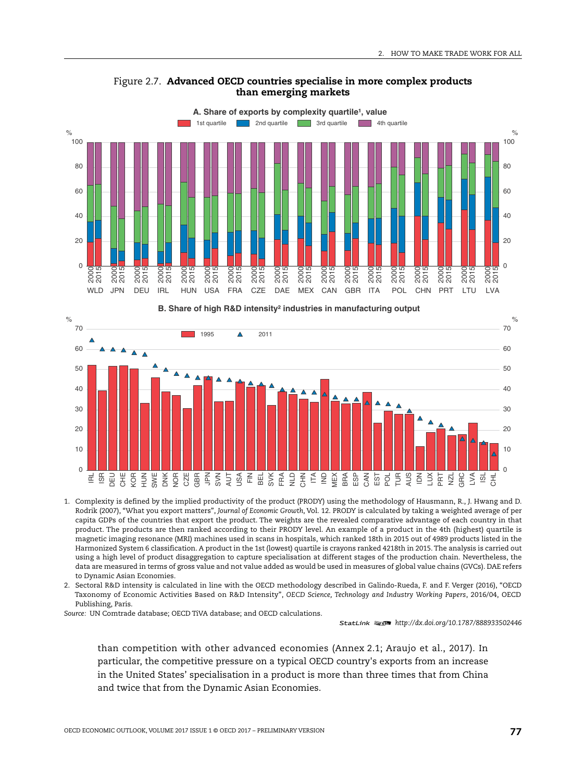

## Figure 2.7. **Advanced OECD countries specialise in more complex products than emerging markets**



1. Complexity is defined by the implied productivity of the product (PRODY) using the methodology of Hausmann, R., J. Hwang and D. Rodrik (2007), "What you export matters", *Journal of Economic Growth*, Vol. 12. PRODY is calculated by taking a weighted average of per capita GDPs of the countries that export the product. The weights are the revealed comparative advantage of each country in that product. The products are then ranked according to their PRODY level. An example of a product in the 4th (highest) quartile is magnetic imaging resonance (MRI) machines used in scans in hospitals, which ranked 18th in 2015 out of 4989 products listed in the Harmonized System 6 classification. A product in the 1st (lowest) quartile is crayons ranked 4218th in 2015. The analysis is carried out using a high level of product disaggregation to capture specialisation at different stages of the production chain. Nevertheless, the data are measured in terms of gross value and not value added as would be used in measures of global value chains (GVCs). DAE refers to Dynamic Asian Economies.

2. Sectoral R&D intensity is calculated in line with the OECD methodology described in Galindo-Rueda, F. and F. Verger (2016), "OECD Taxonomy of Economic Activities Based on R&D Intensity", *OECD Science, Technology and Industry Working Papers*, 2016/04, OECD Publishing, Paris.

*Source:* UN Comtrade database; OECD TiVA database; and OECD calculations.

1 2 *<http://dx.doi.org/10.1787/888933502446>*

than competition with other advanced economies (Annex 2.1; Araujo et al., 2017). In particular, the competitive pressure on a typical OECD country's exports from an increase in the United States' specialisation in a product is more than three times that from China and twice that from the Dynamic Asian Economies.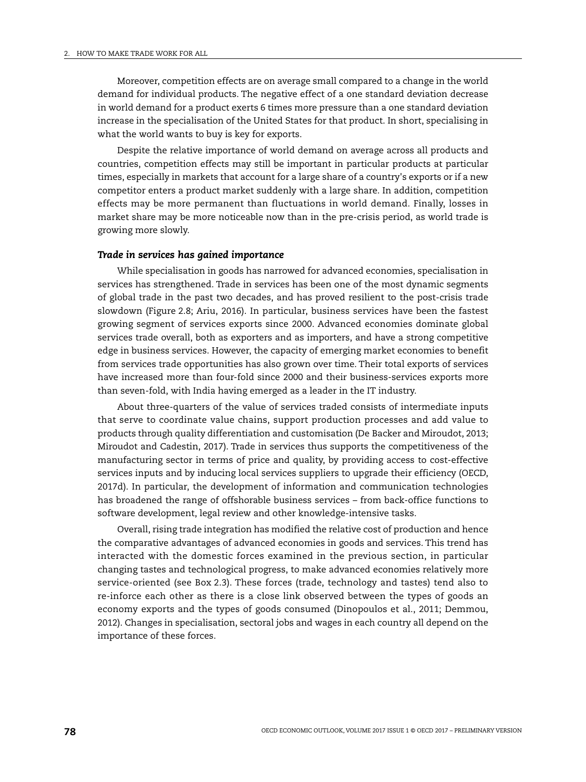Moreover, competition effects are on average small compared to a change in the world demand for individual products. The negative effect of a one standard deviation decrease in world demand for a product exerts 6 times more pressure than a one standard deviation increase in the specialisation of the United States for that product. In short, specialising in what the world wants to buy is key for exports.

Despite the relative importance of world demand on average across all products and countries, competition effects may still be important in particular products at particular times, especially in markets that account for a large share of a country's exports or if a new competitor enters a product market suddenly with a large share. In addition, competition effects may be more permanent than fluctuations in world demand. Finally, losses in market share may be more noticeable now than in the pre-crisis period, as world trade is growing more slowly.

#### *Trade in services has gained importance*

While specialisation in goods has narrowed for advanced economies, specialisation in services has strengthened. Trade in services has been one of the most dynamic segments of global trade in the past two decades, and has proved resilient to the post-crisis trade slowdown (Figure 2.8; Ariu, 2016). In particular, business services have been the fastest growing segment of services exports since 2000. Advanced economies dominate global services trade overall, both as exporters and as importers, and have a strong competitive edge in business services. However, the capacity of emerging market economies to benefit from services trade opportunities has also grown over time. Their total exports of services have increased more than four-fold since 2000 and their business-services exports more than seven-fold, with India having emerged as a leader in the IT industry.

About three-quarters of the value of services traded consists of intermediate inputs that serve to coordinate value chains, support production processes and add value to products through quality differentiation and customisation (De Backer and Miroudot, 2013; Miroudot and Cadestin, 2017). Trade in services thus supports the competitiveness of the manufacturing sector in terms of price and quality, by providing access to cost-effective services inputs and by inducing local services suppliers to upgrade their efficiency (OECD, 2017d). In particular, the development of information and communication technologies has broadened the range of offshorable business services – from back-office functions to software development, legal review and other knowledge-intensive tasks.

Overall, rising trade integration has modified the relative cost of production and hence the comparative advantages of advanced economies in goods and services. This trend has interacted with the domestic forces examined in the previous section, in particular changing tastes and technological progress, to make advanced economies relatively more service-oriented (see Box 2.3). These forces (trade, technology and tastes) tend also to re-inforce each other as there is a close link observed between the types of goods an economy exports and the types of goods consumed (Dinopoulos et al., 2011; Demmou, 2012). Changes in specialisation, sectoral jobs and wages in each country all depend on the importance of these forces.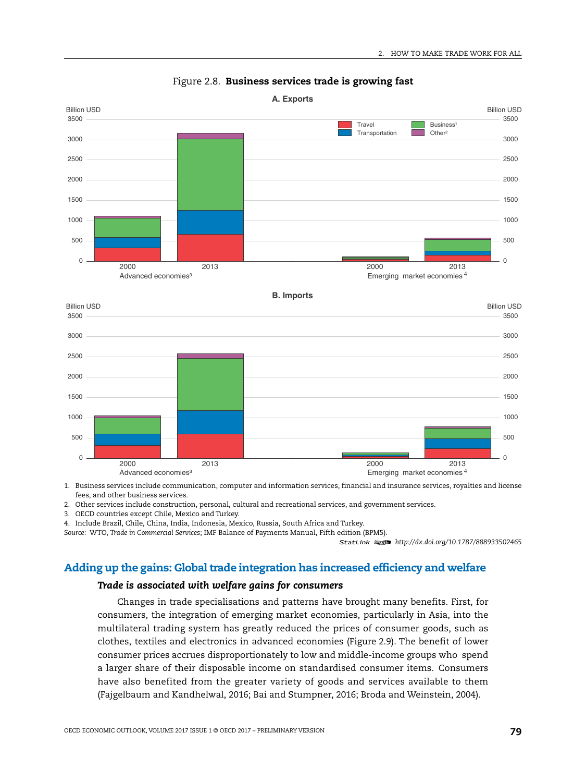

#### Figure 2.8. **Business services trade is growing fast**

**B. Imports**



1. Business services include communication, computer and information services, financial and insurance services, royalties and license fees, and other business services.

2. Other services include construction, personal, cultural and recreational services, and government services.

3. OECD countries except Chile, Mexico and Turkey.

4. Include Brazil, Chile, China, India, Indonesia, Mexico, Russia, South Africa and Turkey.

*Source:* WTO, *Trade in Commercial Services*; IMF Balance of Payments Manual, Fifth edition (BPM5).

1 2 *<http://dx.doi.org/10.1787/888933502465>*

## **Adding up the gains: Global trade integration has increased efficiency and welfare**

## *Trade is associated with welfare gains for consumers*

Changes in trade specialisations and patterns have brought many benefits. First, for consumers, the integration of emerging market economies, particularly in Asia, into the multilateral trading system has greatly reduced the prices of consumer goods, such as clothes, textiles and electronics in advanced economies (Figure 2.9). The benefit of lower consumer prices accrues disproportionately to low and middle-income groups who spend a larger share of their disposable income on standardised consumer items. Consumers have also benefited from the greater variety of goods and services available to them (Fajgelbaum and Kandhelwal, 2016; Bai and Stumpner, 2016; Broda and Weinstein, 2004).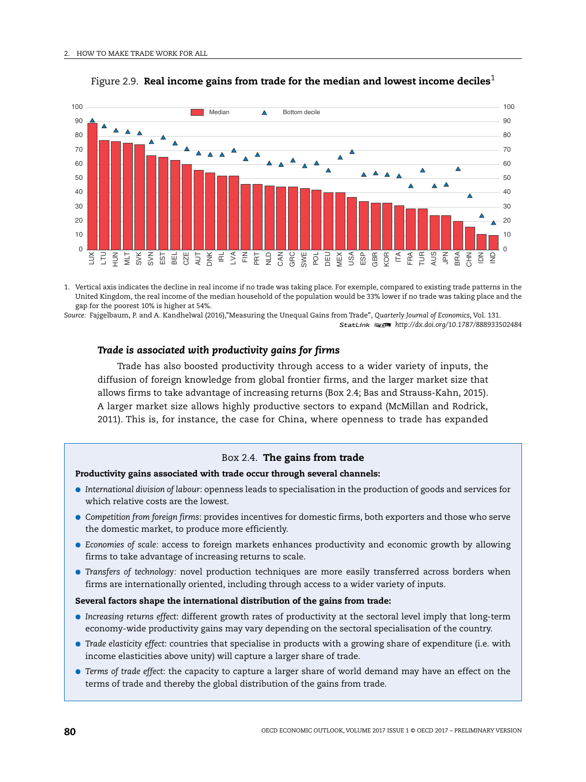



1. Vertical axis indicates the decline in real income if no trade was taking place. For exemple, compared to existing trade patterns in the United Kingdom, the real income of the median household of the population would be 33% lower if no trade was taking place and the gap for the poorest 10% is higher at 54%.

*Source:* Fajgelbaum, P. and A. Kandhelwal (2016),"Measuring the Unequal Gains from Trade", *Quarterly Journal of Economics*, Vol. 131. 1 2 *<http://dx.doi.org/10.1787/888933502484>*

#### *Trade is associated with productivity gains for firms*

Trade has also boosted productivity through access to a wider variety of inputs, the diffusion of foreign knowledge from global frontier firms, and the larger market size that allows firms to take advantage of increasing returns (Box 2.4; Bas and Strauss-Kahn, 2015). A larger market size allows highly productive sectors to expand (McMillan and Rodrick, 2011). This is, for instance, the case for China, where openness to trade has expanded

#### Box 2.4. **The gains from trade**

#### **Productivity gains associated with trade occur through several channels:**

- *International division of labour*: openness leads to specialisation in the production of goods and services for which relative costs are the lowest.
- *Competition from foreign firms*: provides incentives for domestic firms, both exporters and those who serve the domestic market, to produce more efficiently.
- *Economies of scale:* access to foreign markets enhances productivity and economic growth by allowing firms to take advantage of increasing returns to scale.
- *Transfers of technology:* novel production techniques are more easily transferred across borders when firms are internationally oriented, including through access to a wider variety of inputs.

#### **Several factors shape the international distribution of the gains from trade:**

- *Increasing returns effect*: different growth rates of productivity at the sectoral level imply that long-term economy-wide productivity gains may vary depending on the sectoral specialisation of the country.
- *Trade elasticity effect*: countries that specialise in products with a growing share of expenditure (i.e. with income elasticities above unity) will capture a larger share of trade.
- *Terms of trade effect*: the capacity to capture a larger share of world demand may have an effect on the terms of trade and thereby the global distribution of the gains from trade.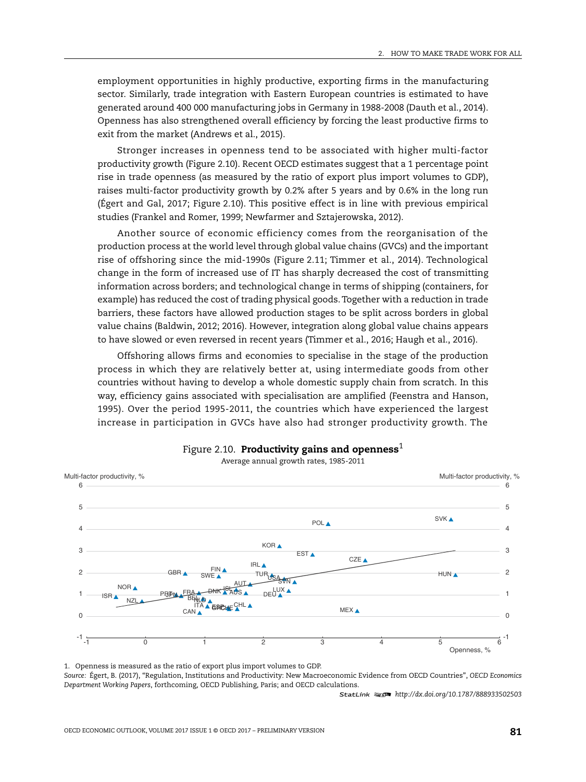employment opportunities in highly productive, exporting firms in the manufacturing sector. Similarly, trade integration with Eastern European countries is estimated to have generated around 400 000 manufacturing jobs in Germany in 1988-2008 (Dauth et al., 2014). Openness has also strengthened overall efficiency by forcing the least productive firms to exit from the market (Andrews et al., 2015).

Stronger increases in openness tend to be associated with higher multi-factor productivity growth (Figure 2.10). Recent OECD estimates suggest that a 1 percentage point rise in trade openness (as measured by the ratio of export plus import volumes to GDP), raises multi-factor productivity growth by 0.2% after 5 years and by 0.6% in the long run (Égert and Gal, 2017; Figure 2.10). This positive effect is in line with previous empirical studies (Frankel and Romer, 1999; Newfarmer and Sztajerowska, 2012).

Another source of economic efficiency comes from the reorganisation of the production process at the world level through global value chains (GVCs) and the important rise of offshoring since the mid-1990s (Figure 2.11; Timmer et al., 2014). Technological change in the form of increased use of IT has sharply decreased the cost of transmitting information across borders; and technological change in terms of shipping (containers, for example) has reduced the cost of trading physical goods. Together with a reduction in trade barriers, these factors have allowed production stages to be split across borders in global value chains (Baldwin, 2012; 2016). However, integration along global value chains appears to have slowed or even reversed in recent years (Timmer et al., 2016; Haugh et al., 2016).

Offshoring allows firms and economies to specialise in the stage of the production process in which they are relatively better at, using intermediate goods from other countries without having to develop a whole domestic supply chain from scratch. In this way, efficiency gains associated with specialisation are amplified (Feenstra and Hanson, 1995). Over the period 1995-2011, the countries which have experienced the largest increase in participation in GVCs have also had stronger productivity growth. The



Figure 2.10. **Productivity gains and openness**<sup>1</sup>

Average annual growth rates, 1985-2011

1. Openness is measured as the ratio of export plus import volumes to GDP. *Source:* Égert, B. (2017), "Regulation, Institutions and Productivity: New Macroeconomic Evidence from OECD Countries", *OECD Economics Department Working Papers*, forthcoming, OECD Publishing, Paris; and OECD calculations. 1 2 *<http://dx.doi.org/10.1787/888933502503>*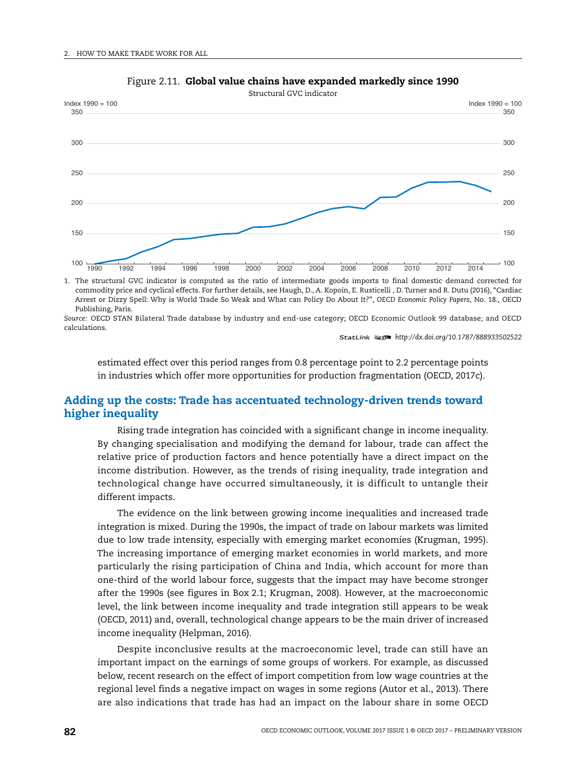

#### Figure 2.11. **Global value chains have expanded markedly since 1990**

1. The structural GVC indicator is computed as the ratio of intermediate goods imports to final domestic demand corrected for commodity price and cyclical effects. For further details, see Haugh, D., A. Kopoin, E. Rusticelli , D. Turner and R. Dutu (2016), "Cardiac Arrest or Dizzy Spell: Why is World Trade So Weak and What can Policy Do About It?", *OECD Economic Policy Papers*, No. 18., OECD Publishing, Paris.

*Source:* OECD STAN Bilateral Trade database by industry and end-use category; OECD Economic Outlook 99 database; and OECD calculations.

1 2 *<http://dx.doi.org/10.1787/888933502522>*

estimated effect over this period ranges from 0.8 percentage point to 2.2 percentage points in industries which offer more opportunities for production fragmentation (OECD, 2017c).

## **Adding up the costs: Trade has accentuated technology-driven trends toward higher inequality**

Rising trade integration has coincided with a significant change in income inequality. By changing specialisation and modifying the demand for labour, trade can affect the relative price of production factors and hence potentially have a direct impact on the income distribution. However, as the trends of rising inequality, trade integration and technological change have occurred simultaneously, it is difficult to untangle their different impacts.

The evidence on the link between growing income inequalities and increased trade integration is mixed. During the 1990s, the impact of trade on labour markets was limited due to low trade intensity, especially with emerging market economies (Krugman, 1995). The increasing importance of emerging market economies in world markets, and more particularly the rising participation of China and India, which account for more than one-third of the world labour force, suggests that the impact may have become stronger after the 1990s (see figures in Box 2.1; Krugman, 2008). However, at the macroeconomic level, the link between income inequality and trade integration still appears to be weak (OECD, 2011) and, overall, technological change appears to be the main driver of increased income inequality (Helpman, 2016).

Despite inconclusive results at the macroeconomic level, trade can still have an important impact on the earnings of some groups of workers. For example, as discussed below, recent research on the effect of import competition from low wage countries at the regional level finds a negative impact on wages in some regions (Autor et al., 2013). There are also indications that trade has had an impact on the labour share in some OECD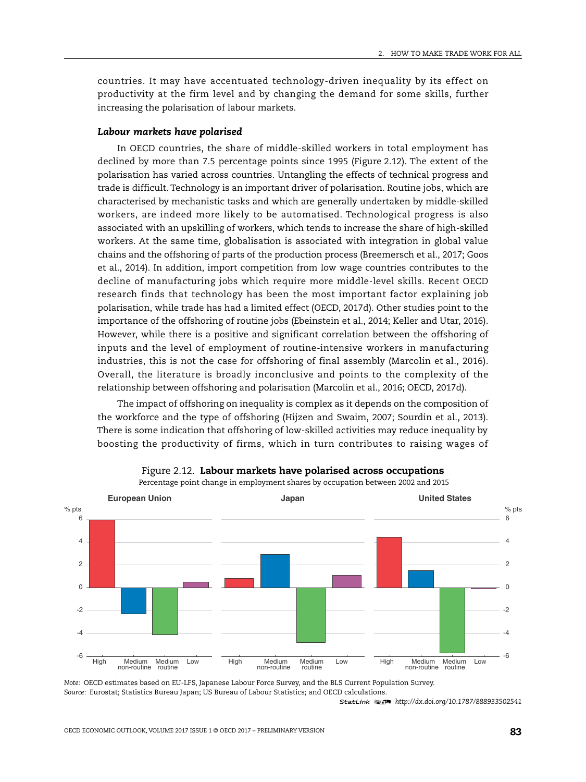countries. It may have accentuated technology-driven inequality by its effect on productivity at the firm level and by changing the demand for some skills, further increasing the polarisation of labour markets.

#### *Labour markets have polarised*

In OECD countries, the share of middle-skilled workers in total employment has declined by more than 7.5 percentage points since 1995 (Figure 2.12). The extent of the polarisation has varied across countries. Untangling the effects of technical progress and trade is difficult. Technology is an important driver of polarisation. Routine jobs, which are characterised by mechanistic tasks and which are generally undertaken by middle-skilled workers, are indeed more likely to be automatised. Technological progress is also associated with an upskilling of workers, which tends to increase the share of high-skilled workers. At the same time, globalisation is associated with integration in global value chains and the offshoring of parts of the production process (Breemersch et al., 2017; Goos et al., 2014). In addition, import competition from low wage countries contributes to the decline of manufacturing jobs which require more middle-level skills. Recent OECD research finds that technology has been the most important factor explaining job polarisation, while trade has had a limited effect (OECD, 2017d). Other studies point to the importance of the offshoring of routine jobs (Ebeinstein et al., 2014; Keller and Utar, 2016). However, while there is a positive and significant correlation between the offshoring of inputs and the level of employment of routine-intensive workers in manufacturing industries, this is not the case for offshoring of final assembly (Marcolin et al., 2016). Overall, the literature is broadly inconclusive and points to the complexity of the relationship between offshoring and polarisation (Marcolin et al., 2016; OECD, 2017d).

The impact of offshoring on inequality is complex as it depends on the composition of the workforce and the type of offshoring (Hijzen and Swaim, 2007; Sourdin et al., 2013). There is some indication that offshoring of low-skilled activities may reduce inequality by boosting the productivity of firms, which in turn contributes to raising wages of



Figure 2.12. **Labour markets have polarised across occupations**

Percentage point change in employment shares by occupation between 2002 and 2015

*Note:* OECD estimates based on EU-LFS, Japanese Labour Force Survey, and the BLS Current Population Survey. *Source:* Eurostat; Statistics Bureau Japan; US Bureau of Labour Statistics; and OECD calculations.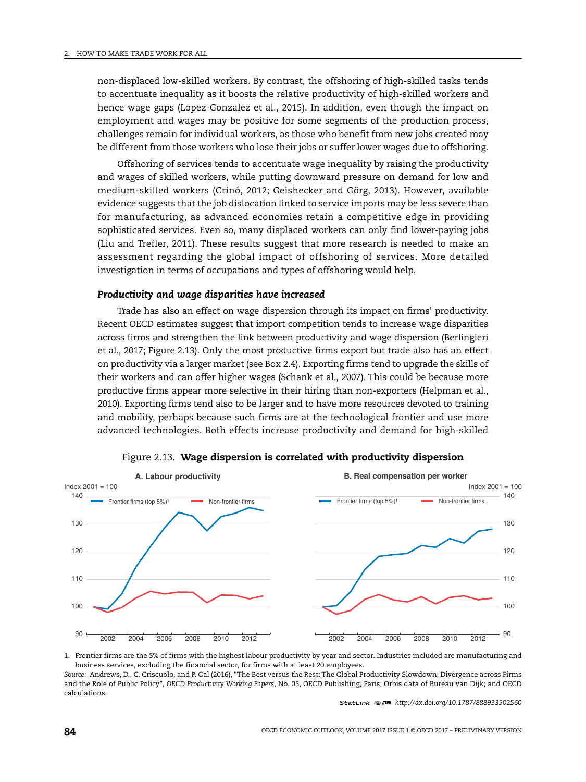non-displaced low-skilled workers. By contrast, the offshoring of high-skilled tasks tends to accentuate inequality as it boosts the relative productivity of high-skilled workers and hence wage gaps (Lopez-Gonzalez et al., 2015). In addition, even though the impact on employment and wages may be positive for some segments of the production process, challenges remain for individual workers, as those who benefit from new jobs created may be different from those workers who lose their jobs or suffer lower wages due to offshoring.

Offshoring of services tends to accentuate wage inequality by raising the productivity and wages of skilled workers, while putting downward pressure on demand for low and medium-skilled workers (Crinó, 2012; Geishecker and Görg, 2013). However, available evidence suggests that the job dislocation linked to service imports may be less severe than for manufacturing, as advanced economies retain a competitive edge in providing sophisticated services. Even so, many displaced workers can only find lower-paying jobs (Liu and Trefler, 2011). These results suggest that more research is needed to make an assessment regarding the global impact of offshoring of services. More detailed investigation in terms of occupations and types of offshoring would help.

#### *Productivity and wage disparities have increased*

Trade has also an effect on wage dispersion through its impact on firms' productivity. Recent OECD estimates suggest that import competition tends to increase wage disparities across firms and strengthen the link between productivity and wage dispersion (Berlingieri et al., 2017; Figure 2.13). Only the most productive firms export but trade also has an effect on productivity via a larger market (see Box 2.4). Exporting firms tend to upgrade the skills of their workers and can offer higher wages (Schank et al., 2007). This could be because more productive firms appear more selective in their hiring than non-exporters (Helpman et al., 2010). Exporting firms tend also to be larger and to have more resources devoted to training and mobility, perhaps because such firms are at the technological frontier and use more advanced technologies. Both effects increase productivity and demand for high-skilled



Figure 2.13. **Wage dispersion is correlated with productivity dispersion**

1. Frontier firms are the 5% of firms with the highest labour productivity by year and sector. Industries included are manufacturing and business services, excluding the financial sector, for firms with at least 20 employees.

*Source:* Andrews, D., C. Criscuolo, and P. Gal (2016), "The Best versus the Rest: The Global Productivity Slowdown, Divergence across Firms and the Role of Public Policy", *OECD Productivity Working Papers*, No. 05, OECD Publishing, Paris; Orbis data of Bureau van Dijk; and OECD calculations.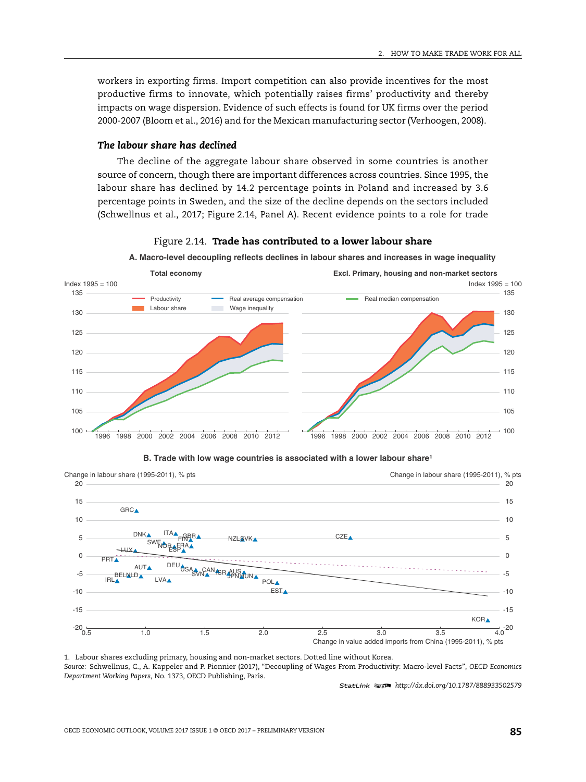workers in exporting firms. Import competition can also provide incentives for the most productive firms to innovate, which potentially raises firms' productivity and thereby impacts on wage dispersion. Evidence of such effects is found for UK firms over the period 2000-2007 (Bloom et al., 2016) and for the Mexican manufacturing sector (Verhoogen, 2008).

#### *The labour share has declined*

The decline of the aggregate labour share observed in some countries is another source of concern, though there are important differences across countries. Since 1995, the labour share has declined by 14.2 percentage points in Poland and increased by 3.6 percentage points in Sweden, and the size of the decline depends on the sectors included (Schwellnus et al., 2017; Figure 2.14, Panel A). Recent evidence points to a role for trade

### Figure 2.14. **Trade has contributed to a lower labour share**

**A. Macro-level decoupling reflects declines in labour shares and increases in wage inequality**



**B. Trade with low wage countries is associated with a lower labour share<sup>1</sup>** 



1. Labour shares excluding primary, housing and non-market sectors. Dotted line without Korea. *Source:* Schwellnus, C., A. Kappeler and P. Pionnier (2017), "Decoupling of Wages From Productivity: Macro-level Facts", *OECD Economics Department Working Papers*, No. 1373, OECD Publishing, Paris.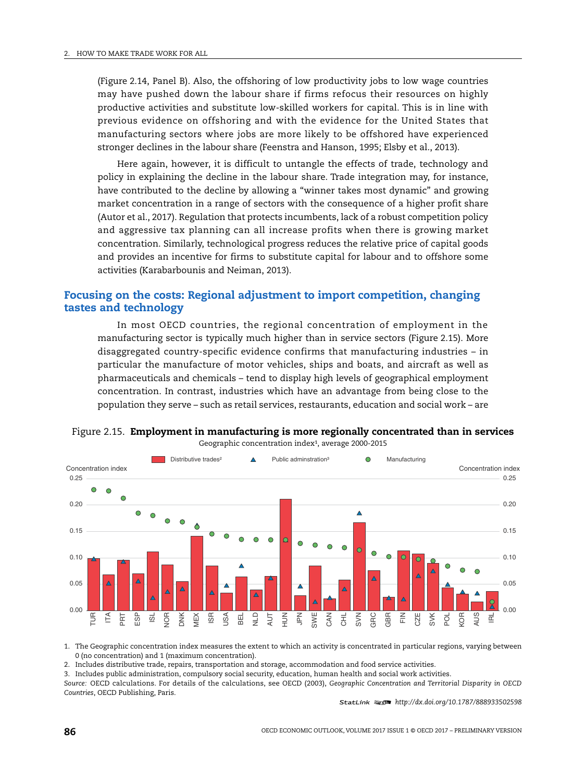(Figure 2.14, Panel B). Also, the offshoring of low productivity jobs to low wage countries may have pushed down the labour share if firms refocus their resources on highly productive activities and substitute low-skilled workers for capital. This is in line with previous evidence on offshoring and with the evidence for the United States that manufacturing sectors where jobs are more likely to be offshored have experienced stronger declines in the labour share (Feenstra and Hanson, 1995; Elsby et al., 2013).

Here again, however, it is difficult to untangle the effects of trade, technology and policy in explaining the decline in the labour share. Trade integration may, for instance, have contributed to the decline by allowing a "winner takes most dynamic" and growing market concentration in a range of sectors with the consequence of a higher profit share (Autor et al., 2017). Regulation that protects incumbents, lack of a robust competition policy and aggressive tax planning can all increase profits when there is growing market concentration. Similarly, technological progress reduces the relative price of capital goods and provides an incentive for firms to substitute capital for labour and to offshore some activities (Karabarbounis and Neiman, 2013).

## **Focusing on the costs: Regional adjustment to import competition, changing tastes and technology**

In most OECD countries, the regional concentration of employment in the manufacturing sector is typically much higher than in service sectors (Figure 2.15). More disaggregated country-specific evidence confirms that manufacturing industries – in particular the manufacture of motor vehicles, ships and boats, and aircraft as well as pharmaceuticals and chemicals – tend to display high levels of geographical employment concentration. In contrast, industries which have an advantage from being close to the population they serve – such as retail services, restaurants, education and social work – are



Figure 2.15. **Employment in manufacturing is more regionally concentrated than in services** Geographic concentration index<sup>1</sup>, average 2000-2015

1. The Geographic concentration index measures the extent to which an activity is concentrated in particular regions, varying between 0 (no concentration) and 1 (maximum concentration).

2. Includes distributive trade, repairs, transportation and storage, accommodation and food service activities.

3. Includes public administration, compulsory social security, education, human health and social work activities.

*Source:* OECD calculations. For details of the calculations, see OECD (2003), *Geographic Concentration and Territorial Disparity in OECD Countries*, OECD Publishing, Paris.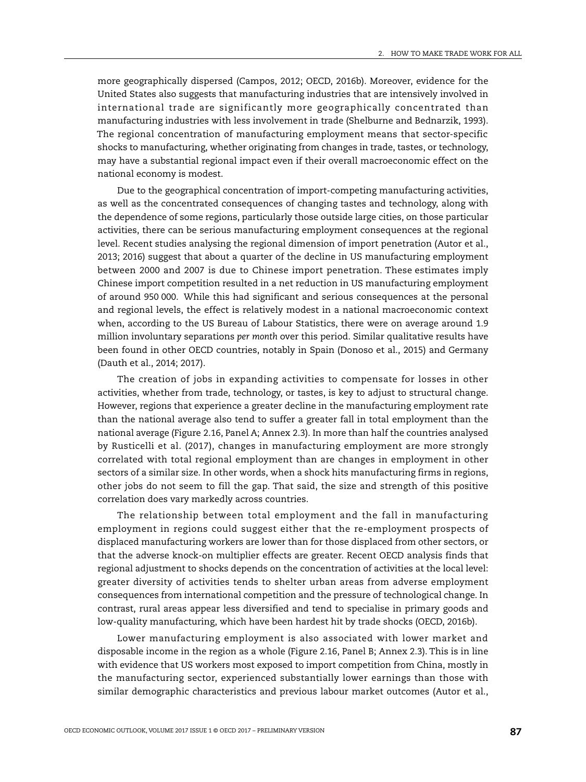more geographically dispersed (Campos, 2012; OECD, 2016b). Moreover, evidence for the United States also suggests that manufacturing industries that are intensively involved in international trade are significantly more geographically concentrated than manufacturing industries with less involvement in trade (Shelburne and Bednarzik, 1993). The regional concentration of manufacturing employment means that sector-specific shocks to manufacturing, whether originating from changes in trade, tastes, or technology, may have a substantial regional impact even if their overall macroeconomic effect on the national economy is modest.

Due to the geographical concentration of import-competing manufacturing activities, as well as the concentrated consequences of changing tastes and technology, along with the dependence of some regions, particularly those outside large cities, on those particular activities, there can be serious manufacturing employment consequences at the regional level. Recent studies analysing the regional dimension of import penetration (Autor et al., 2013; 2016) suggest that about a quarter of the decline in US manufacturing employment between 2000 and 2007 is due to Chinese import penetration. These estimates imply Chinese import competition resulted in a net reduction in US manufacturing employment of around 950 000. While this had significant and serious consequences at the personal and regional levels, the effect is relatively modest in a national macroeconomic context when, according to the US Bureau of Labour Statistics, there were on average around 1.9 million involuntary separations *per month* over this period. Similar qualitative results have been found in other OECD countries, notably in Spain (Donoso et al., 2015) and Germany (Dauth et al., 2014; 2017).

The creation of jobs in expanding activities to compensate for losses in other activities, whether from trade, technology, or tastes, is key to adjust to structural change. However, regions that experience a greater decline in the manufacturing employment rate than the national average also tend to suffer a greater fall in total employment than the national average (Figure 2.16, Panel A; Annex 2.3). In more than half the countries analysed by Rusticelli et al. (2017), changes in manufacturing employment are more strongly correlated with total regional employment than are changes in employment in other sectors of a similar size. In other words, when a shock hits manufacturing firms in regions, other jobs do not seem to fill the gap. That said, the size and strength of this positive correlation does vary markedly across countries.

The relationship between total employment and the fall in manufacturing employment in regions could suggest either that the re-employment prospects of displaced manufacturing workers are lower than for those displaced from other sectors, or that the adverse knock-on multiplier effects are greater. Recent OECD analysis finds that regional adjustment to shocks depends on the concentration of activities at the local level: greater diversity of activities tends to shelter urban areas from adverse employment consequences from international competition and the pressure of technological change. In contrast, rural areas appear less diversified and tend to specialise in primary goods and low-quality manufacturing, which have been hardest hit by trade shocks (OECD, 2016b).

Lower manufacturing employment is also associated with lower market and disposable income in the region as a whole (Figure 2.16, Panel B; Annex 2.3). This is in line with evidence that US workers most exposed to import competition from China, mostly in the manufacturing sector, experienced substantially lower earnings than those with similar demographic characteristics and previous labour market outcomes (Autor et al.,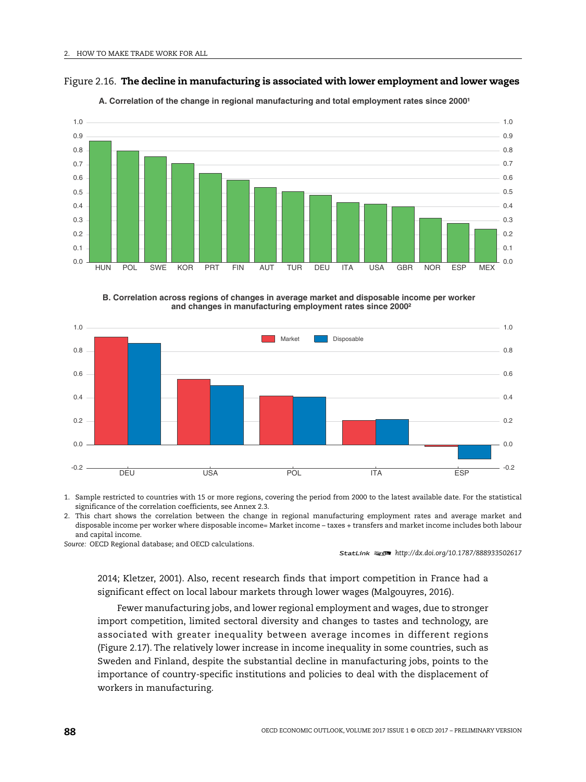### Figure 2.16. **The decline in manufacturing is associated with lower employment and lower wages**



#### A. Correlation of the change in regional manufacturing and total employment rates since 2000<sup>1</sup>

**B. Correlation across regions of changes in average market and disposable income per worker and changes in manufacturing employment rates since 2000²** 



1. Sample restricted to countries with 15 or more regions, covering the period from 2000 to the latest available date. For the statistical significance of the correlation coefficients, see Annex 2.3.

2. This chart shows the correlation between the change in regional manufacturing employment rates and average market and disposable income per worker where disposable income= Market income – taxes + transfers and market income includes both labour and capital income.

*Source:* OECD Regional database; and OECD calculations.

1 2 *<http://dx.doi.org/10.1787/888933502617>*

2014; Kletzer, 2001). Also, recent research finds that import competition in France had a significant effect on local labour markets through lower wages (Malgouyres, 2016).

Fewer manufacturing jobs, and lower regional employment and wages, due to stronger import competition, limited sectoral diversity and changes to tastes and technology, are associated with greater inequality between average incomes in different regions (Figure 2.17). The relatively lower increase in income inequality in some countries, such as Sweden and Finland, despite the substantial decline in manufacturing jobs, points to the importance of country-specific institutions and policies to deal with the displacement of workers in manufacturing.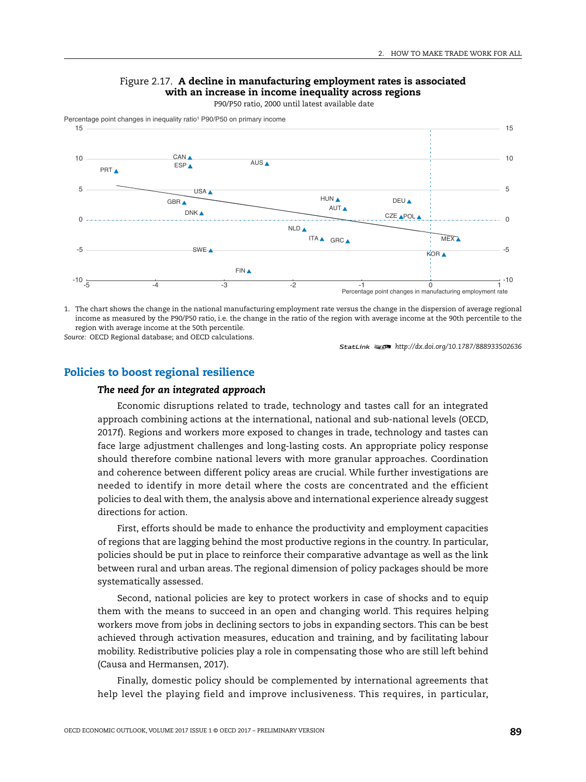

## Figure 2.17. **A decline in manufacturing employment rates is associated with an increase in income inequality across regions**

P90/P50 ratio, 2000 until latest available date

1. The chart shows the change in the national manufacturing employment rate versus the change in the dispersion of average regional income as measured by the P90/P50 ratio, i.e. the change in the ratio of the region with average income at the 90th percentile to the region with average income at the 50th percentile.

*Source:* OECD Regional database; and OECD calculations.

1 2 *<http://dx.doi.org/10.1787/888933502636>*

## **Policies to boost regional resilience**

#### *The need for an integrated approach*

Economic disruptions related to trade, technology and tastes call for an integrated approach combining actions at the international, national and sub-national levels (OECD, 2017f). Regions and workers more exposed to changes in trade, technology and tastes can face large adjustment challenges and long-lasting costs. An appropriate policy response should therefore combine national levers with more granular approaches. Coordination and coherence between different policy areas are crucial. While further investigations are needed to identify in more detail where the costs are concentrated and the efficient policies to deal with them, the analysis above and international experience already suggest directions for action.

First, efforts should be made to enhance the productivity and employment capacities of regions that are lagging behind the most productive regions in the country. In particular, policies should be put in place to reinforce their comparative advantage as well as the link between rural and urban areas. The regional dimension of policy packages should be more systematically assessed.

Second, national policies are key to protect workers in case of shocks and to equip them with the means to succeed in an open and changing world. This requires helping workers move from jobs in declining sectors to jobs in expanding sectors. This can be best achieved through activation measures, education and training, and by facilitating labour mobility. Redistributive policies play a role in compensating those who are still left behind (Causa and Hermansen, 2017).

Finally, domestic policy should be complemented by international agreements that help level the playing field and improve inclusiveness. This requires, in particular,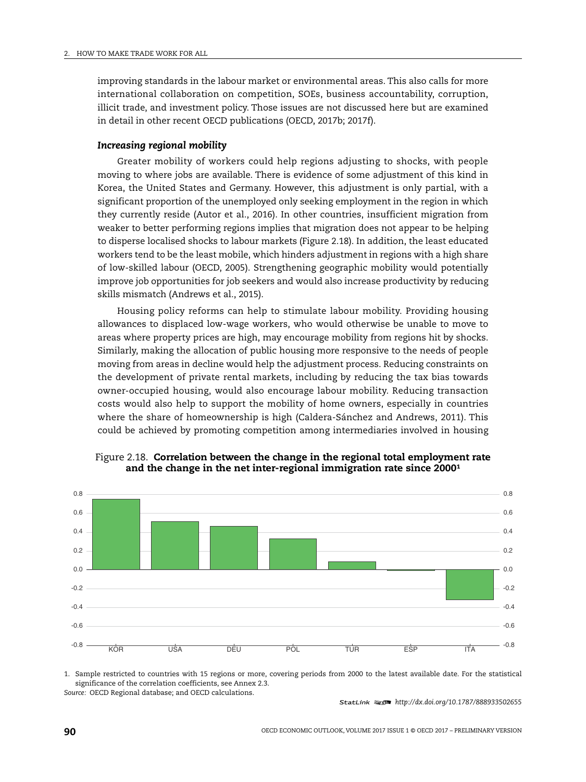improving standards in the labour market or environmental areas. This also calls for more international collaboration on competition, SOEs, business accountability, corruption, illicit trade, and investment policy. Those issues are not discussed here but are examined in detail in other recent OECD publications (OECD, 2017b; 2017f).

#### *Increasing regional mobility*

Greater mobility of workers could help regions adjusting to shocks, with people moving to where jobs are available. There is evidence of some adjustment of this kind in Korea, the United States and Germany. However, this adjustment is only partial, with a significant proportion of the unemployed only seeking employment in the region in which they currently reside (Autor et al., 2016). In other countries, insufficient migration from weaker to better performing regions implies that migration does not appear to be helping to disperse localised shocks to labour markets (Figure 2.18). In addition, the least educated workers tend to be the least mobile, which hinders adjustment in regions with a high share of low-skilled labour (OECD, 2005). Strengthening geographic mobility would potentially improve job opportunities for job seekers and would also increase productivity by reducing skills mismatch (Andrews et al., 2015).

Housing policy reforms can help to stimulate labour mobility. Providing housing allowances to displaced low-wage workers, who would otherwise be unable to move to areas where property prices are high, may encourage mobility from regions hit by shocks. Similarly, making the allocation of public housing more responsive to the needs of people moving from areas in decline would help the adjustment process. Reducing constraints on the development of private rental markets, including by reducing the tax bias towards owner-occupied housing, would also encourage labour mobility. Reducing transaction costs would also help to support the mobility of home owners, especially in countries where the share of homeownership is high (Caldera-Sánchez and Andrews, 2011). This could be achieved by promoting competition among intermediaries involved in housing



Figure 2.18. **Correlation between the change in the regional total employment rate** and the change in the net inter-regional immigration rate since 2000<sup>1</sup>

1. Sample restricted to countries with 15 regions or more, covering periods from 2000 to the latest available date. For the statistical significance of the correlation coefficients, see Annex 2.3. *Source:* OECD Regional database; and OECD calculations.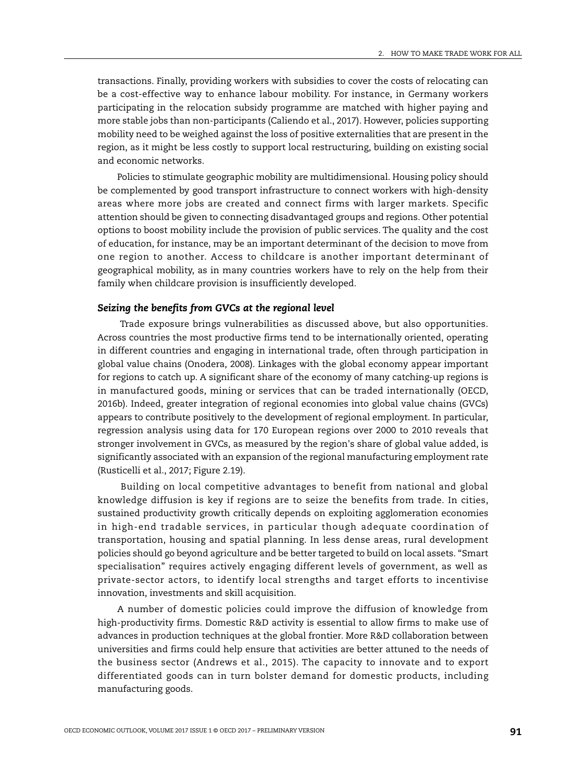transactions. Finally, providing workers with subsidies to cover the costs of relocating can be a cost-effective way to enhance labour mobility. For instance, in Germany workers participating in the relocation subsidy programme are matched with higher paying and more stable jobs than non-participants (Caliendo et al., 2017). However, policies supporting mobility need to be weighed against the loss of positive externalities that are present in the region, as it might be less costly to support local restructuring, building on existing social and economic networks.

Policies to stimulate geographic mobility are multidimensional. Housing policy should be complemented by good transport infrastructure to connect workers with high-density areas where more jobs are created and connect firms with larger markets. Specific attention should be given to connecting disadvantaged groups and regions. Other potential options to boost mobility include the provision of public services. The quality and the cost of education, for instance, may be an important determinant of the decision to move from one region to another. Access to childcare is another important determinant of geographical mobility, as in many countries workers have to rely on the help from their family when childcare provision is insufficiently developed.

#### *Seizing the benefits from GVCs at the regional level*

Trade exposure brings vulnerabilities as discussed above, but also opportunities. Across countries the most productive firms tend to be internationally oriented, operating in different countries and engaging in international trade, often through participation in global value chains (Onodera, 2008). Linkages with the global economy appear important for regions to catch up. A significant share of the economy of many catching-up regions is in manufactured goods, mining or services that can be traded internationally (OECD, 2016b). Indeed, greater integration of regional economies into global value chains (GVCs) appears to contribute positively to the development of regional employment. In particular, regression analysis using data for 170 European regions over 2000 to 2010 reveals that stronger involvement in GVCs, as measured by the region's share of global value added, is significantly associated with an expansion of the regional manufacturing employment rate (Rusticelli et al., 2017; Figure 2.19).

Building on local competitive advantages to benefit from national and global knowledge diffusion is key if regions are to seize the benefits from trade. In cities, sustained productivity growth critically depends on exploiting agglomeration economies in high-end tradable services, in particular though adequate coordination of transportation, housing and spatial planning. In less dense areas, rural development policies should go beyond agriculture and be better targeted to build on local assets. "Smart specialisation" requires actively engaging different levels of government, as well as private-sector actors, to identify local strengths and target efforts to incentivise innovation, investments and skill acquisition.

A number of domestic policies could improve the diffusion of knowledge from high-productivity firms. Domestic R&D activity is essential to allow firms to make use of advances in production techniques at the global frontier. More R&D collaboration between universities and firms could help ensure that activities are better attuned to the needs of the business sector (Andrews et al., 2015). The capacity to innovate and to export differentiated goods can in turn bolster demand for domestic products, including manufacturing goods.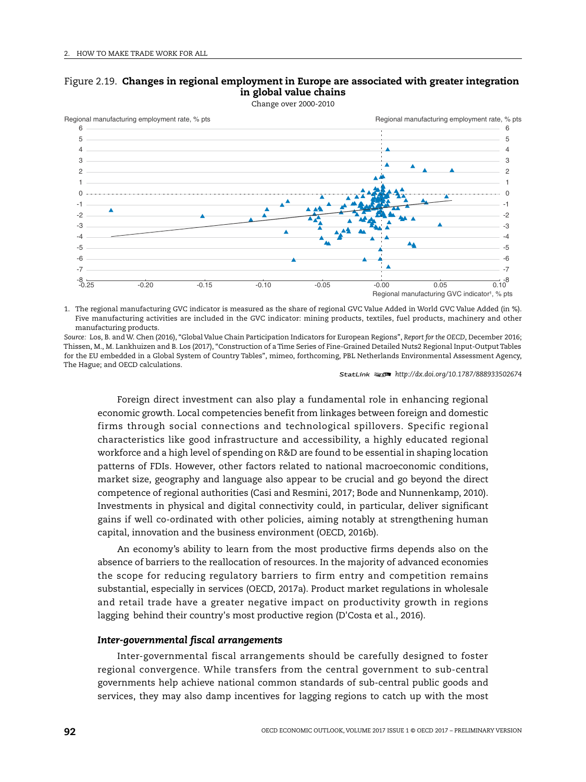

Change over 2000-2010



1. The regional manufacturing GVC indicator is measured as the share of regional GVC Value Added in World GVC Value Added (in %). Five manufacturing activities are included in the GVC indicator: mining products, textiles, fuel products, machinery and other manufacturing products.

*Source:* Los, B. andW. Chen (2016), "Global Value Chain Participation Indicators for European Regions", *Report for the OECD*, December 2016; Thissen, M., M. Lankhuizen and B. Los (2017), "Construction of a Time Series of Fine-Grained Detailed Nuts2 Regional Input-Output Tables for the EU embedded in a Global System of Country Tables", mimeo, forthcoming, PBL Netherlands Environmental Assessment Agency, The Hague; and OECD calculations.

1 2 *<http://dx.doi.org/10.1787/888933502674>*

Foreign direct investment can also play a fundamental role in enhancing regional economic growth. Local competencies benefit from linkages between foreign and domestic firms through social connections and technological spillovers. Specific regional characteristics like good infrastructure and accessibility, a highly educated regional workforce and a high level of spending on R&D are found to be essential in shaping location patterns of FDIs. However, other factors related to national macroeconomic conditions, market size, geography and language also appear to be crucial and go beyond the direct competence of regional authorities (Casi and Resmini, 2017; Bode and Nunnenkamp, 2010). Investments in physical and digital connectivity could, in particular, deliver significant gains if well co-ordinated with other policies, aiming notably at strengthening human capital, innovation and the business environment (OECD, 2016b).

An economy's ability to learn from the most productive firms depends also on the absence of barriers to the reallocation of resources. In the majority of advanced economies the scope for reducing regulatory barriers to firm entry and competition remains substantial, especially in services (OECD, 2017a). Product market regulations in wholesale and retail trade have a greater negative impact on productivity growth in regions lagging behind their country's most productive region (D'Costa et al., 2016).

#### *Inter-governmental fiscal arrangements*

Inter-governmental fiscal arrangements should be carefully designed to foster regional convergence. While transfers from the central government to sub-central governments help achieve national common standards of sub-central public goods and services, they may also damp incentives for lagging regions to catch up with the most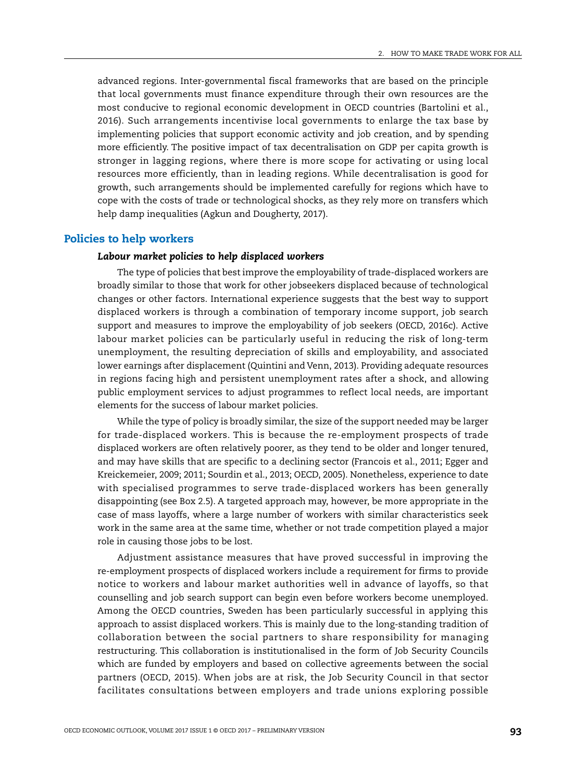advanced regions. Inter-governmental fiscal frameworks that are based on the principle that local governments must finance expenditure through their own resources are the most conducive to regional economic development in OECD countries (Bartolini et al., 2016). Such arrangements incentivise local governments to enlarge the tax base by implementing policies that support economic activity and job creation, and by spending more efficiently. The positive impact of tax decentralisation on GDP per capita growth is stronger in lagging regions, where there is more scope for activating or using local resources more efficiently, than in leading regions. While decentralisation is good for growth, such arrangements should be implemented carefully for regions which have to cope with the costs of trade or technological shocks, as they rely more on transfers which help damp inequalities (Agkun and Dougherty, 2017).

## **Policies to help workers**

#### *Labour market policies to help displaced workers*

The type of policies that best improve the employability of trade-displaced workers are broadly similar to those that work for other jobseekers displaced because of technological changes or other factors. International experience suggests that the best way to support displaced workers is through a combination of temporary income support, job search support and measures to improve the employability of job seekers (OECD, 2016c). Active labour market policies can be particularly useful in reducing the risk of long-term unemployment, the resulting depreciation of skills and employability, and associated lower earnings after displacement (Quintini and Venn, 2013). Providing adequate resources in regions facing high and persistent unemployment rates after a shock, and allowing public employment services to adjust programmes to reflect local needs, are important elements for the success of labour market policies.

While the type of policy is broadly similar, the size of the support needed may be larger for trade-displaced workers. This is because the re-employment prospects of trade displaced workers are often relatively poorer, as they tend to be older and longer tenured, and may have skills that are specific to a declining sector (Francois et al., 2011; Egger and Kreickemeier, 2009; 2011; Sourdin et al., 2013; OECD, 2005). Nonetheless, experience to date with specialised programmes to serve trade-displaced workers has been generally disappointing (see Box 2.5). A targeted approach may, however, be more appropriate in the case of mass layoffs, where a large number of workers with similar characteristics seek work in the same area at the same time, whether or not trade competition played a major role in causing those jobs to be lost.

Adjustment assistance measures that have proved successful in improving the re-employment prospects of displaced workers include a requirement for firms to provide notice to workers and labour market authorities well in advance of layoffs, so that counselling and job search support can begin even before workers become unemployed. Among the OECD countries, Sweden has been particularly successful in applying this approach to assist displaced workers. This is mainly due to the long-standing tradition of collaboration between the social partners to share responsibility for managing restructuring. This collaboration is institutionalised in the form of Job Security Councils which are funded by employers and based on collective agreements between the social partners (OECD, 2015). When jobs are at risk, the Job Security Council in that sector facilitates consultations between employers and trade unions exploring possible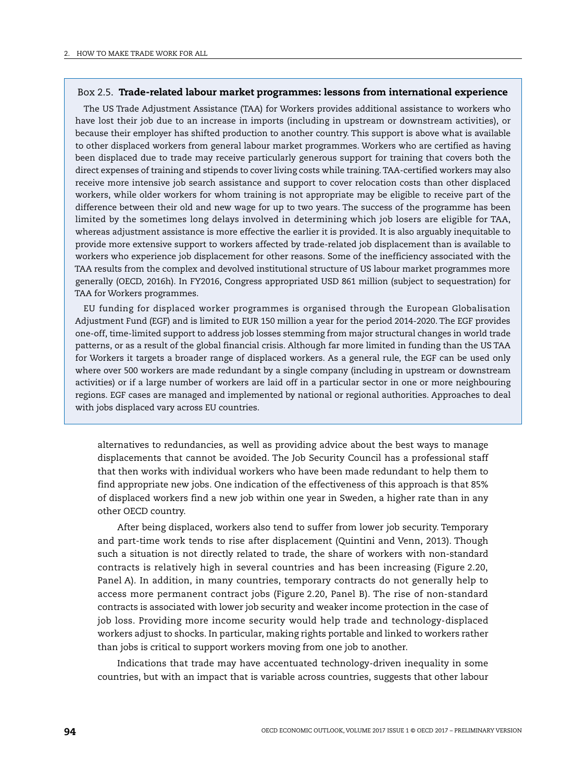#### Box 2.5. **Trade-related labour market programmes: lessons from international experience**

The US Trade Adjustment Assistance (TAA) for Workers provides additional assistance to workers who have lost their job due to an increase in imports (including in upstream or downstream activities), or because their employer has shifted production to another country. This support is above what is available to other displaced workers from general labour market programmes. Workers who are certified as having been displaced due to trade may receive particularly generous support for training that covers both the direct expenses of training and stipends to cover living costs while training. TAA-certified workers may also receive more intensive job search assistance and support to cover relocation costs than other displaced workers, while older workers for whom training is not appropriate may be eligible to receive part of the difference between their old and new wage for up to two years. The success of the programme has been limited by the sometimes long delays involved in determining which job losers are eligible for TAA, whereas adjustment assistance is more effective the earlier it is provided. It is also arguably inequitable to provide more extensive support to workers affected by trade-related job displacement than is available to workers who experience job displacement for other reasons. Some of the inefficiency associated with the TAA results from the complex and devolved institutional structure of US labour market programmes more generally (OECD, 2016h). In FY2016, Congress appropriated USD 861 million (subject to sequestration) for TAA for Workers programmes.

EU funding for displaced worker programmes is organised through the European Globalisation Adjustment Fund (EGF) and is limited to EUR 150 million a year for the period 2014-2020. The EGF provides one-off, time-limited support to address job losses stemming from major structural changes in world trade patterns, or as a result of the global financial crisis. Although far more limited in funding than the US TAA for Workers it targets a broader range of displaced workers. As a general rule, the EGF can be used only where over 500 workers are made redundant by a single company (including in upstream or downstream activities) or if a large number of workers are laid off in a particular sector in one or more neighbouring regions. EGF cases are managed and implemented by national or regional authorities. Approaches to deal with jobs displaced vary across EU countries.

alternatives to redundancies, as well as providing advice about the best ways to manage displacements that cannot be avoided. The Job Security Council has a professional staff that then works with individual workers who have been made redundant to help them to find appropriate new jobs. One indication of the effectiveness of this approach is that 85% of displaced workers find a new job within one year in Sweden, a higher rate than in any other OECD country.

After being displaced, workers also tend to suffer from lower job security. Temporary and part-time work tends to rise after displacement (Quintini and Venn, 2013). Though such a situation is not directly related to trade, the share of workers with non-standard contracts is relatively high in several countries and has been increasing (Figure 2.20, Panel A). In addition, in many countries, temporary contracts do not generally help to access more permanent contract jobs (Figure 2.20, Panel B). The rise of non-standard contracts is associated with lower job security and weaker income protection in the case of job loss. Providing more income security would help trade and technology-displaced workers adjust to shocks. In particular, making rights portable and linked to workers rather than jobs is critical to support workers moving from one job to another.

Indications that trade may have accentuated technology-driven inequality in some countries, but with an impact that is variable across countries, suggests that other labour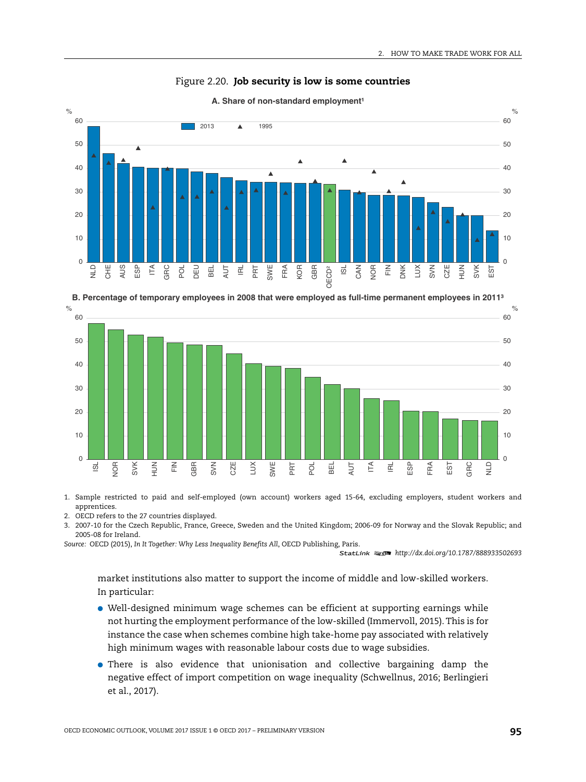

#### Figure 2.20. **Job security is low is some countries**



1. Sample restricted to paid and self-employed (own account) workers aged 15-64, excluding employers, student workers and apprentices.

2. OECD refers to the 27 countries displayed.

3. 2007-10 for the Czech Republic, France, Greece, Sweden and the United Kingdom; 2006-09 for Norway and the Slovak Republic; and 2005-08 for Ireland.

*Source:* OECD (2015), *In It Together: Why Less Inequality Benefits All*, OECD Publishing, Paris.

1 2 *<http://dx.doi.org/10.1787/888933502693>*

market institutions also matter to support the income of middle and low-skilled workers. In particular:

- Well-designed minimum wage schemes can be efficient at supporting earnings while not hurting the employment performance of the low-skilled (Immervoll, 2015). This is for instance the case when schemes combine high take-home pay associated with relatively high minimum wages with reasonable labour costs due to wage subsidies.
- There is also evidence that unionisation and collective bargaining damp the negative effect of import competition on wage inequality (Schwellnus, 2016; Berlingieri et al., 2017).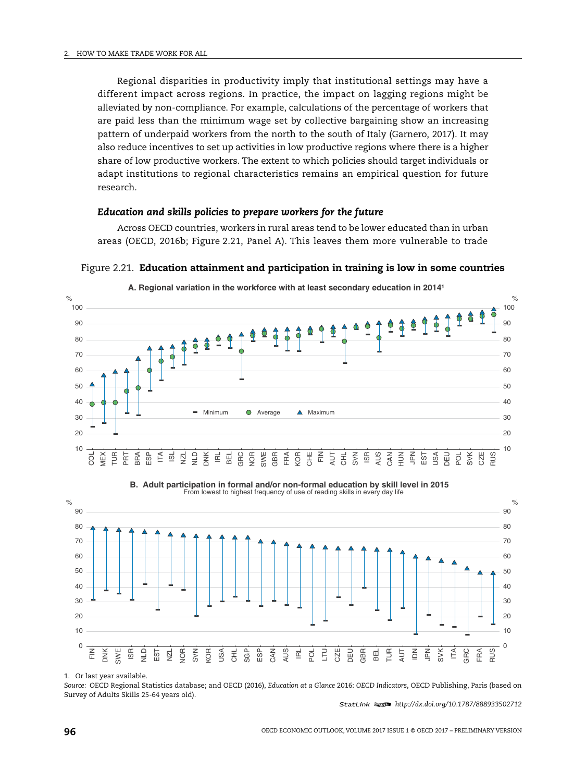Regional disparities in productivity imply that institutional settings may have a different impact across regions. In practice, the impact on lagging regions might be alleviated by non-compliance. For example, calculations of the percentage of workers that are paid less than the minimum wage set by collective bargaining show an increasing pattern of underpaid workers from the north to the south of Italy (Garnero, 2017). It may also reduce incentives to set up activities in low productive regions where there is a higher share of low productive workers. The extent to which policies should target individuals or adapt institutions to regional characteristics remains an empirical question for future research.

#### *Education and skills policies to prepare workers for the future*

Across OECD countries, workers in rural areas tend to be lower educated than in urban areas (OECD, 2016b; Figure 2.21, Panel A). This leaves them more vulnerable to trade



#### Figure 2.21. **Education attainment and participation in training is low in some countries**



**B. Adult participation in formal and/or non-formal education by skill level in 2015**

1. Or last year available.

*Source:* OECD Regional Statistics database; and OECD (2016), *Education at a Glance* 2016: *OECD Indicators*, OECD Publishing, Paris (based on Survey of Adults Skills 25-64 years old).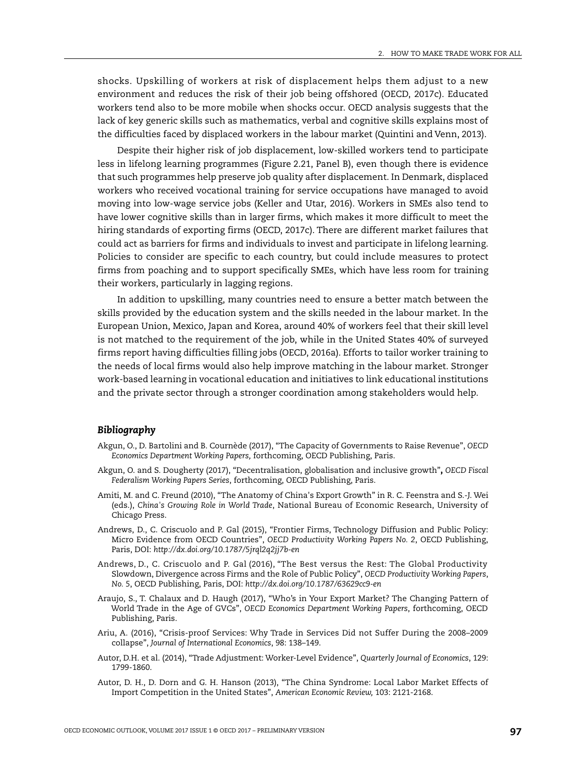shocks. Upskilling of workers at risk of displacement helps them adjust to a new environment and reduces the risk of their job being offshored (OECD, 2017c). Educated workers tend also to be more mobile when shocks occur. OECD analysis suggests that the lack of key generic skills such as mathematics, verbal and cognitive skills explains most of the difficulties faced by displaced workers in the labour market (Quintini and Venn, 2013).

Despite their higher risk of job displacement, low-skilled workers tend to participate less in lifelong learning programmes (Figure 2.21, Panel B), even though there is evidence that such programmes help preserve job quality after displacement. In Denmark, displaced workers who received vocational training for service occupations have managed to avoid moving into low-wage service jobs (Keller and Utar, 2016). Workers in SMEs also tend to have lower cognitive skills than in larger firms, which makes it more difficult to meet the hiring standards of exporting firms (OECD, 2017c). There are different market failures that could act as barriers for firms and individuals to invest and participate in lifelong learning. Policies to consider are specific to each country, but could include measures to protect firms from poaching and to support specifically SMEs, which have less room for training their workers, particularly in lagging regions.

In addition to upskilling, many countries need to ensure a better match between the skills provided by the education system and the skills needed in the labour market. In the European Union, Mexico, Japan and Korea, around 40% of workers feel that their skill level is not matched to the requirement of the job, while in the United States 40% of surveyed firms report having difficulties filling jobs (OECD, 2016a). Efforts to tailor worker training to the needs of local firms would also help improve matching in the labour market. Stronger work-based learning in vocational education and initiatives to link educational institutions and the private sector through a stronger coordination among stakeholders would help.

#### *Bibliography*

- Akgun, O., D. Bartolini and B. Cournède (2017), "The Capacity of Governments to Raise Revenue", *OECD Economics Department Working Papers,* forthcoming, OECD Publishing, Paris.
- Akgun, O. and S. Dougherty (2017), "Decentralisation, globalisation and inclusive growth"**,** *OECD Fiscal Federalism Working Papers Series*, forthcoming, OECD Publishing, Paris.
- Amiti, M. and C. Freund (2010), "The Anatomy of China's Export Growth" in R. C. Feenstra and S.-J. Wei (eds.), *China's Growing Role in World Trade*, National Bureau of Economic Research, University of Chicago Press.
- Andrews, D., C. Criscuolo and P. Gal (2015), "Frontier Firms, Technology Diffusion and Public Policy: Micro Evidence from OECD Countries", *OECD Productivity Working Papers No. 2*, OECD Publishing, Paris, DOI: *<http://dx.doi.org/10.1787/5jrql2q2jj7b-en>*
- Andrews, D., C. Criscuolo and P. Gal (2016), "The Best versus the Rest: The Global Productivity Slowdown, Divergence across Firms and the Role of Public Policy", *OECD Productivity Working Papers*, *No. 5*, OECD Publishing, Paris, DOI: *<http://dx.doi.org/10.1787/63629cc9-en>*
- Araujo, S., T. Chalaux and D. Haugh (2017), "Who's in Your Export Market? The Changing Pattern of World Trade in the Age of GVCs", *OECD Economics Department Working Papers*, forthcoming, OECD Publishing, Paris.
- Ariu, A. (2016), "Crisis-proof Services: Why Trade in Services Did not Suffer During the 2008–2009 collapse", *Journal of International Economics*, 98: 138–149.
- Autor, D.H. et al. (2014), "Trade Adjustment: Worker-Level Evidence", *Quarterly Journal of Economics*, 129: 1799-1860.
- Autor, D. H., D. Dorn and G. H. Hanson (2013), "The China Syndrome: Local Labor Market Effects of Import Competition in the United States", *American Economic Review,* 103: 2121-2168.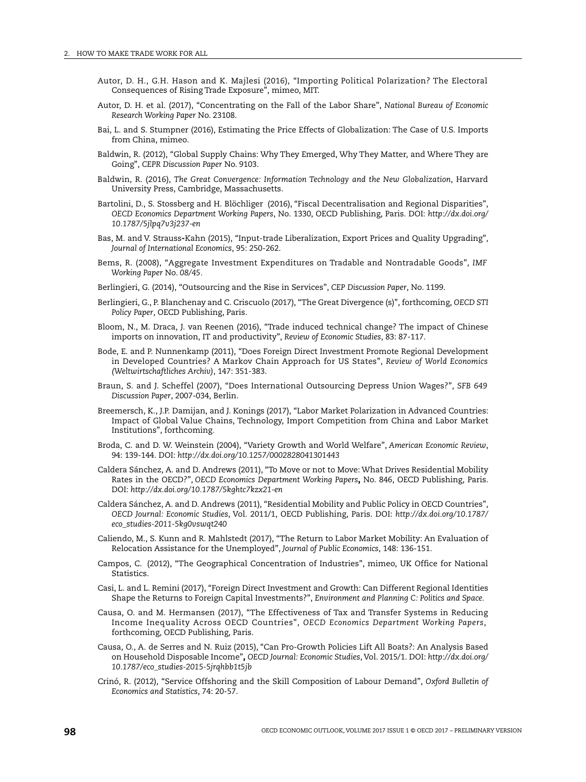- Autor, D. H., G.H. Hason and K. Majlesi (2016), "Importing Political Polarization? The Electoral Consequences of Rising Trade Exposure", mimeo, MIT.
- Autor, D. H. et al. (2017), "Concentrating on the Fall of the Labor Share", *National Bureau of Economic Research Working Paper* No. 23108.
- Bai, L. and S. Stumpner (2016), Estimating the Price Effects of Globalization: The Case of U.S. Imports from China, mimeo.
- Baldwin, R. (2012), "Global Supply Chains: Why They Emerged, Why They Matter, and Where They are Going", *CEPR Discussion Paper* No. 9103.
- Baldwin, R. (2016), *The Great Convergence: Information Technology and the New Globalization*, Harvard University Press, Cambridge, Massachusetts.
- Bartolini, D., S. Stossberg and H. Blöchliger (2016), "Fiscal Decentralisation and Regional Disparities", *OECD Economics Department Working Papers*, No. 1330, OECD Publishing, Paris. DOI: *[http://dx.doi.org/](http://dx.doi.org/10.1787/5jlpq7v3j237-en) [10.1787/5jlpq7v3j237-en](http://dx.doi.org/10.1787/5jlpq7v3j237-en)*
- Bas, M. and V. Strauss**-**Kahn (2015), "Input-trade Liberalization, Export Prices and Quality Upgrading", *Journal of International Economics*, 95: 250-262.
- Bems, R. (2008), "Aggregate Investment Expenditures on Tradable and Nontradable Goods", *IMF Working Paper* No. *08/45.*
- Berlingieri, G. (2014), "Outsourcing and the Rise in Services", *CEP Discussion Paper*, No. 1199.
- Berlingieri, G., P. Blanchenay and C. Criscuolo (2017), "The Great Divergence (s)", forthcoming, *OECD STI Policy Paper*, OECD Publishing, Paris.
- [Bloom, N., M. Draca, J. van Reenen \(2016\), "Trade induced technical change? The impact of Chinese](http://www.nber.org/papers/w16717) [imports on innovation, IT and productivity",](http://www.nber.org/papers/w16717) *Review of Economic Studies*, 83: 87-117.
- Bode, E. and P. Nunnenkamp (2011), "Does Foreign Direct Investment Promote Regional Development in Developed Countries? A Markov Chain Approach for US States", *[Review of World Economics](https://ideas.repec.org/s/spr/weltar.html) [\(Weltwirtschaftliches Archiv\)](https://ideas.repec.org/s/spr/weltar.html)*, 147: 351-383.
- [Braun, S. and J. Scheffel \(2007\), "Does International Outsourcing Depress Union Wages?",](http://citeseerx.ist.psu.edu/viewdoc/download?doi=10.1.1.690.2491&rep=rep1&type=pdf) *SFB 649 Discussion Paper*, 2007-034, Berlin.
- Breemersch, K., J.P. Damijan, and J. Konings (2017), "Labor Market Polarization in Advanced Countries: Impact of Global Value Chains, Technology, Import Competition from China and Labor Market Institutions", forthcoming*.*
- Broda, C. and D. W. Weinstein (2004), "Variety Growth and World Welfare", *American Economic Review*, 94: 139-144. DOI: *[http://dx.doi.org/10.1257/0002828041301443](http://dx.doi.org/%2010.1257/0002828041301443)*
- Caldera Sánchez, A. and D. Andrews (2011), "To Move or not to Move: What Drives Residential Mobility Rates in the OECD?", *OECD Economics Department Working Papers***,** No. 846, OECD Publishing, Paris. DOI: *<http://dx.doi.org/10.1787/5kghtc7kzx21-en>*
- Caldera Sánchez, A. and D. Andrews (2011), "Residential Mobility and Public Policy in OECD Countries", *OECD Journal: Economic Studies*, Vol. 2011/1, OECD Publishing, Paris. DOI: *[http://dx.doi.org/10.1787/](http://dx.doi.org/10.1787/eco_studies-2011-5kg0vswqt240) [eco\\_studies-2011-5kg0vswqt240](http://dx.doi.org/10.1787/eco_studies-2011-5kg0vswqt240)*
- Caliendo, M., S. Kunn and R. Mahlstedt (2017), "The Return to Labor Market Mobility: An Evaluation of Relocation Assistance for the Unemployed", *Journal of Public Economics*, 148: 136-151.
- [Campos, C. \(2012\), "The Geographical Concentration of Industries", mimeo, UK Office for National](http://webarchive.nationalarchives.gov.uk/20160105160709/http/www.ons.gov.uk/ons/dcp171766_272232.pdf) Statistics.
- Casi, L. and L. Remini (2017), "Foreign Direct Investment and Growth: Can Different Regional Identities Shape the Returns to Foreign Capital Investments?", *Environment and Planning C: Politics and Space.*
- Causa, O. and M. Hermansen (2017), "The Effectiveness of Tax and Transfer Systems in Reducing Income Inequality Across OECD Countries", *OECD Economics Department Working Papers*, forthcoming, OECD Publishing, Paris.
- Causa, O., A. de Serres and N. Ruiz (2015), "Can Pro-Growth Policies Lift All Boats?: An Analysis Based on Household Disposable Income"**,** *OECD Journal: Economic Studies*, Vol. 2015/1. DOI: *[http://dx.doi.org/](http://dx.doi.org/10.1787/eco_studies-2015-5jrqhbb1t5jb) [10.1787/eco\\_studies-2015-5jrqhbb1t5jb](http://dx.doi.org/10.1787/eco_studies-2015-5jrqhbb1t5jb)*
- Crinó, R. (2012), "Service Offshoring and the Skill Composition of Labour Demand", *Oxford Bulletin of Economics and Statistics*, 74: 20-57.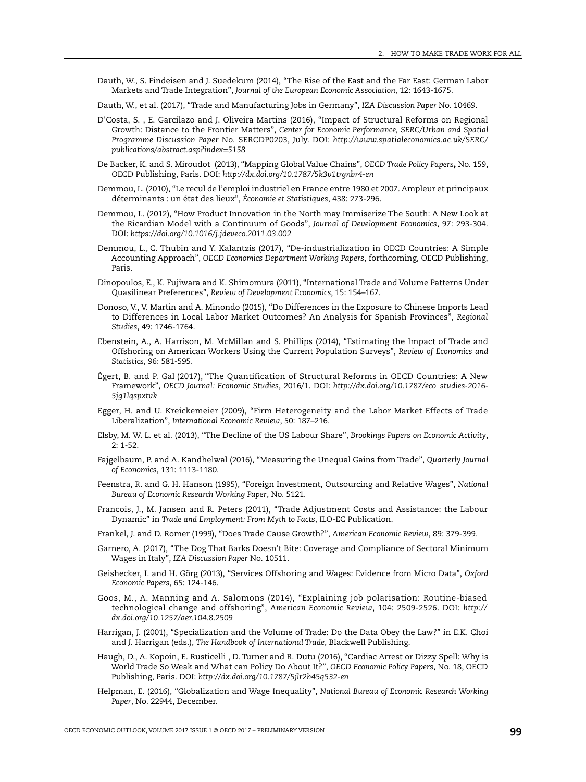Dauth, W., S. Findeisen and J. Suedekum (2014), "The Rise of the East and the Far East: German Labor Markets and Trade Integration", *Journal of the European Economic Association*, 12: 1643-1675.

Dauth, W., et al. (2017), "Trade and Manufacturing Jobs in Germany", *IZA Discussion Paper* No. 10469.

- D'Costa, S. , E. Garcilazo and J. Oliveira Martins (2016), "Impact of Structural Reforms on Regional Growth: Distance to the Frontier Matters", *Center for Economic Performance, SERC/Urban and Spatial Programme Discussion Paper* No. SERCDP0203, July. DOI: *[http://www.spatialeconomics.ac.uk/SERC/](http://www.spatialeconomics.ac.uk/SERC/publications/abstract.asp?index=5158) [publications/abstract.asp?index=5158](http://www.spatialeconomics.ac.uk/SERC/publications/abstract.asp?index=5158)*
- De Backer, K. and S. Miroudot (2013), "Mapping Global Value Chains", *OECD Trade Policy Papers***,** No. 159, OECD Publishing, Paris. DOI: *<http://dx.doi.org/10.1787/5k3v1trgnbr4-en>*
- Demmou, L. (2010), "Le recul de l'emploi industriel en France entre 1980 et 2007. Ampleur et principaux déterminants : un état des lieux", *Économie et Statistiques*, 438: 273-296.
- Demmou, L. (2012), "How Product Innovation in the North may Immiserize The South: A New Look at the Ricardian Model with a Continuum of Goods", *Journal of Development Economics*, 97: 293-304. DOI: *<https://doi.org/10.1016/j.jdeveco.2011.03.002>*
- Demmou, L., C. Thubin and Y. Kalantzis (2017), "De-industrialization in OECD Countries: A Simple Accounting Approach", *OECD Economics Department Working Papers*, forthcoming, OECD Publishing, Paris.
- Dinopoulos, E., K. Fujiwara and K. Shimomura (2011), "International Trade and Volume Patterns Under Quasilinear Preferences", *Review of Development Economics,* 15: 154–167.
- Donoso, V., V. Martin and A. Minondo (2015), "Do Differences in the Exposure to Chinese Imports Lead to Differences in Local Labor Market Outcomes? An Analysis for Spanish Provinces", *Regional Studies*, 49: 1746-1764.
- Ebenstein, A., A. Harrison, M. McMillan and S. Phillips (2014), "Estimating the Impact of Trade and Offshoring on American Workers Using the Current Population Surveys", *Review of Economics and Statistics*, 96: 581-595.
- Égert, B. and P. Gal (2017), "The Quantification of Structural Reforms in OECD Countries: A New Framework", *OECD Journal: Economic Studies*, 2016/1. DOI: *[http://dx.doi.org/10.1787/eco\\_studies-2016-](http://dx.doi.org/10.1787/eco_studies-2016-5jg1lqspxtvk) [5jg1lqspxtvk](http://dx.doi.org/10.1787/eco_studies-2016-5jg1lqspxtvk)*
- Egger, H. and U. Kreickemeier (2009), "Firm Heterogeneity and the Labor Market Effects of Trade Liberalization", *International Economic Review*, 50: 187–216.
- Elsby, M. W. L. et al. (2013), "The Decline of the US Labour Share", *Brookings Papers on Economic Activity*, 2: 1-52.
- Fajgelbaum, P. and A. Kandhelwal (2016), "Measuring the Unequal Gains from Trade", *Quarterly Journal of Economics*, 131: 1113-1180.
- Feenstra, R. and G. H. Hanson (1995), "Foreign Investment, Outsourcing and Relative Wages", *National Bureau of Economic Research Working Paper*, No. 5121.
- Francois, J., M. Jansen and R. Peters (2011), "Trade Adjustment Costs and Assistance: the Labour Dynamic" in *Trade and Employment: From Myth to Facts*, ILO-EC Publication.

Frankel, J. and D. Romer (1999), "Does Trade Cause Growth?", *American Economic Review*, 89: 379-399.

- Garnero, A. (2017), "The Dog That Barks Doesn't Bite: Coverage and Compliance of Sectoral Minimum Wages in Italy", *IZA Discussion Paper* No. 10511.
- Geishecker, I. and H. Görg (2013), "Services Offshoring and Wages: Evidence from Micro Data", *Oxford Economic Papers*, 65: 124-146.
- Goos, M., A. Manning and A. Salomons (2014), "Explaining job polarisation: Routine-biased technological change and offshoring", *American Economic Review*, 104: 2509-2526. DOI: *[http://](http://dx.doi.org/10.1257/aer.104.8.2509) [dx.doi.org/10.1257/aer.104.8.2509](http://dx.doi.org/10.1257/aer.104.8.2509)*
- Harrigan, J. (2001), "Specialization and the Volume of Trade: Do the Data Obey the Law?" in E.K. Choi and J. Harrigan (eds.), *The Handbook of International Trade*, Blackwell Publishing.
- Haugh, D., A. Kopoin, E. Rusticelli , D. Turner and R. Dutu (2016), "Cardiac Arrest or Dizzy Spell: Why is World Trade So Weak and What can Policy Do About It?", *OECD Economic Policy Papers*, No. 18, OECD Publishing, Paris. DOI: *<http://dx.doi.org/10.1787/5jlr2h45q532-en>*
- Helpman, E. (2016), "Globalization and Wage Inequality", *National Bureau of Economic Research Working Paper*, No. 22944, December.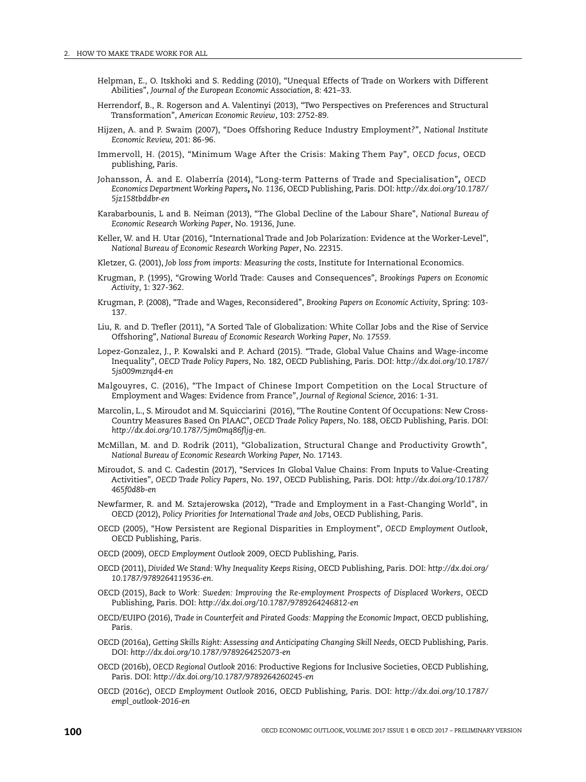- Helpman, E., O. Itskhoki and S. Redding (2010), "Unequal Effects of Trade on Workers with Different Abilities", *Journal of the European Economic Association*, 8: 421–33.
- Herrendorf, B., R. Rogerson and A. Valentinyi (2013), "Two Perspectives on Preferences and Structural Transformation", *American Economic Review*, 103: 2752-89.
- Hijzen, A. and P. Swaim (2007), "Does Offshoring Reduce Industry Employment?", *National Institute Economic Review,* 201: 86-96.
- Immervoll, H. (2015), "Minimum Wage After the Crisis: Making Them Pay", *OECD focus*, OECD publishing, Paris.
- Johansson, Å. and E. Olaberría (2014), "Long-term Patterns of Trade and Specialisation"*, OECD Economics Department Working Papers, No. 1136*, OECD Publishing, Paris. DOI: *[http://dx.doi.org/10.1787/](http://dx.doi.org/10.1787/5jz158tbddbr-en) [5jz158tbddbr-en](http://dx.doi.org/10.1787/5jz158tbddbr-en)*
- Karabarbounis, L and B. Neiman (2013), "The Global Decline of the Labour Share", *National Bureau of Economic Research Working Paper*, No. 19136, June.
- Keller, W. and H. Utar (2016), "International Trade and Job Polarization: Evidence at the Worker-Level", *National Bureau of Economic Research Working Paper*, No. 22315.
- Kletzer, G. (2001), *Job loss from imports: Measuring the costs*, Institute for International Economics.
- Krugman, P. (1995), "Growing World Trade: Causes and Consequences", *Brookings Papers on Economic Activity*, 1: 327-362.
- Krugman, P. (2008), "Trade and Wages, Reconsidered", *Brooking Papers on Economic Activity*, Spring: 103- 137*.*
- Liu, R. and D. Trefler (2011), "A Sorted Tale of Globalization: White Collar Jobs and the Rise of Service Offshoring", *National Bureau of Economic Research Working Paper*, *No. 17559.*
- Lopez-Gonzalez, J., P. Kowalski and P. Achard (2015). "Trade, Global Value Chains and Wage-income Inequality", *OECD Trade Policy Papers*, No. 182, OECD Publishing, Paris. DOI: *[http://dx.doi.org/10.1787/](http://dx.doi.org/10.1787/5js009mzrqd4-en) [5js009mzrqd4-en](http://dx.doi.org/10.1787/5js009mzrqd4-en)*
- Malgouyres, C. (2016), "The Impact of Chinese Import Competition on the Local Structure of Employment and Wages: Evidence from France", *Journal of Regional Science,* 2016: 1-31.
- Marcolin, L., S. Miroudot and M. Squicciarini (2016), "The Routine Content Of Occupations: New Cross-Country Measures Based On PIAAC", *OECD Trade Policy Papers*, No. 188, OECD Publishing, Paris. DOI: *<http://dx.doi.org/10.1787/5jm0mq86fljg-en>*.
- McMillan, M. and D. Rodrik (2011), "Globalization, Structural Change and Productivity Growth", *National Bureau of Economic Research Working Paper,* No. 17143.
- Miroudot, S. and C. Cadestin (2017), "Services In Global Value Chains: From Inputs to Value-Creating Activities", *OECD Trade Policy Papers*, No. 197, OECD Publishing, Paris. DOI: *[http://dx.doi.org/10.1787/](http://dx.doi.org/10.1787/465f0d8b-en) [465f0d8b-en](http://dx.doi.org/10.1787/465f0d8b-en)*
- Newfarmer, R. and M. Sztajerowska (2012), "Trade and Employment in a Fast-Changing World", in OECD (2012), *Policy Priorities for International Trade and Jobs*, OECD Publishing, Paris.
- OECD (2005), "How Persistent are Regional Disparities in Employment", *OECD Employment Outlook*, OECD Publishing, Paris.
- OECD (2009), *OECD Employment Outlook* 2009, OECD Publishing, Paris.
- OECD (2011), *Divided We Stand: Why Inequality Keeps Rising*, OECD Publishing, Paris. DOI: *[http://dx.doi.org/](http://dx.doi.org/10.1787/9789264119536-en) [10.1787/9789264119536-en](http://dx.doi.org/10.1787/9789264119536-en)*.
- OECD (2015), *Back to Work: Sweden: Improving the Re-employment Prospects of Displaced Workers*, OECD Publishing, Paris. DOI: *<http://dx.doi.org/10.1787/9789264246812-en>*
- OECD/EUIPO (2016), *Trade in Counterfeit and Pirated Goods: Mapping the Economic Impact*, OECD publishing, Paris.
- OECD (2016a), *Getting Skills Right: Assessing and Anticipating Changing Skill Needs*, OECD Publishing, Paris. DOI: *<http://dx.doi.org/10.1787/9789264252073-en>*
- OECD (2016b), *OECD Regional Outlook* 2016: Productive Regions for Inclusive Societies, OECD Publishing, Paris. DOI: *<http://dx.doi.org/10.1787/9789264260245-en>*
- OECD (2016c), *OECD Employment Outlook* 2016, OECD Publishing, Paris. DOI: *[http://dx.doi.org/10.1787/](http://dx.doi.org/10.1787/empl_outlook-2016-en) [empl\\_outlook-2016-en](http://dx.doi.org/10.1787/empl_outlook-2016-en)*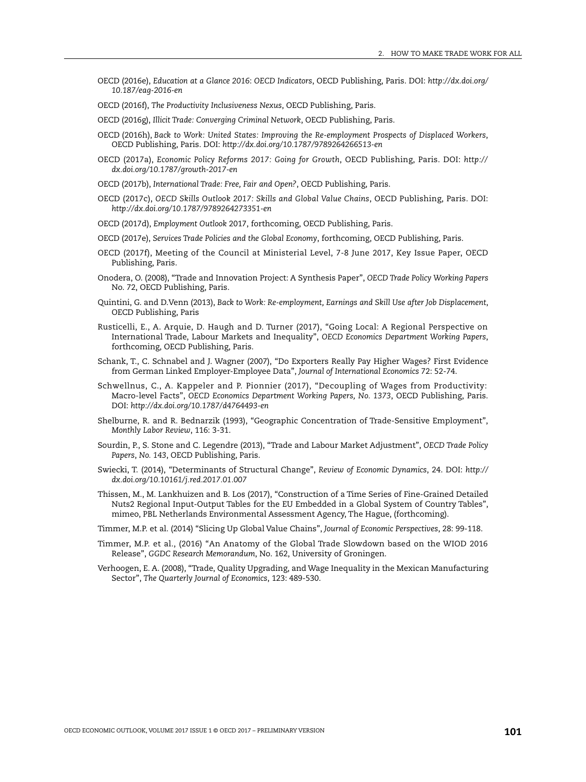OECD (2016e), *Education at a Glance 2016*: *OECD Indicators*, OECD Publishing, Paris. DOI: *[http://dx.doi.org/](http://dx.doi.org/10.1787/empl_outlook-2016-en .) [10.187/eag-2016-en](http://dx.doi.org/10.1787/empl_outlook-2016-en .)*

OECD (2016f), *The Productivity Inclusiveness Nexus*, OECD Publishing, Paris.

- OECD (2016g), *Illicit Trade: Converging Criminal Network*, OECD Publishing, Paris.
- OECD (2016h), *Back to Work: United States: Improving the Re-employment Prospects of Displaced Workers*, OECD Publishing, Paris. DOI: *<http://dx.doi.org/10.1787/9789264266513-en>*
- OECD (2017a), *Economic Policy Reforms 2017: Going for Growth*, OECD Publishing, Paris. DOI: *[http://](http://dx.doi.org/10.1787/growth-2017-en) [dx.doi.org/10.1787/growth-2017-en](http://dx.doi.org/10.1787/growth-2017-en)*
- OECD (2017b), *International Trade: Free, Fair and Open?*, OECD Publishing, Paris.
- OECD (2017c), *OECD Skills Outlook 2017: Skills and Global Value Chains*, OECD Publishing, Paris. DOI: *<http://dx.doi.org/10.1787/9789264273351-en>*
- OECD (2017d), *Employment Outlook* 2017, forthcoming, OECD Publishing, Paris.
- OECD (2017e), *Services Trade Policies and the Global Economy*, forthcoming, OECD Publishing, Paris.
- OECD (2017f), Meeting of the Council at Ministerial Level, 7-8 June 2017, Key Issue Paper, OECD Publishing, Paris.
- Onodera, O. (2008), "Trade and Innovation Project: A Synthesis Paper", *OECD Trade Policy Working Papers* No. 72, OECD Publishing, Paris.
- Quintini, G. and D.Venn (2013), *Back to Work: Re-employment, Earnings and Skill Use after Job Displacement*, OECD Publishing, Paris
- Rusticelli, E., A. Arquie, D. Haugh and D. Turner (2017), "Going Local: A Regional Perspective on International Trade, Labour Markets and Inequality", *OECD Economics Department Working Papers*, forthcoming, OECD Publishing, Paris.
- Schank, T., C. Schnabel and J. Wagner (2007), "Do Exporters Really Pay Higher Wages? First Evidence from German Linked Employer-Employee Data", *Journal of International Economics* 72: 52-74.
- Schwellnus, C., A. Kappeler and P. Pionnier (2017), "Decoupling of Wages from Productivity: Macro-level Facts", *OECD Economics Department Working Papers, No. 1373*, OECD Publishing, Paris. DOI: *<http://dx.doi.org/10.1787/d4764493-en>*
- Shelburne, R. and R. Bednarzik (1993), "Geographic Concentration of Trade-Sensitive Employment", *Monthly Labor Review*, 116: 3-31.
- Sourdin, P., S. Stone and C. Legendre (2013), "Trade and Labour Market Adjustment", *OECD Trade Policy Papers*, *No. 143*, OECD Publishing, Paris.
- Swiecki, T. (2014), "Determinants of Structural Change", *Review of Economic Dynamics*, 24. DOI: *[http://](http://dx.doi.org/10.10161/j.red.2017.01.007) [dx.doi.org/10.10161/j.red.2017.01.007](http://dx.doi.org/10.10161/j.red.2017.01.007)*
- Thissen, M., M. Lankhuizen and B. Los (2017), "Construction of a Time Series of Fine-Grained Detailed Nuts2 Regional Input-Output Tables for the EU Embedded in a Global System of Country Tables", mimeo, PBL Netherlands Environmental Assessment Agency, The Hague, (forthcoming).
- Timmer, M.P. et al. (2014) "Slicing Up Global Value Chains", *Journal of Economic Perspectives*, 28: 99-118.
- Timmer, M.P. et al., (2016) "An Anatomy of the Global Trade Slowdown based on the WIOD 2016 Release", *GGDC Research Memorandum*, No. 162, University of Groningen.
- Verhoogen, E. A. (2008), "Trade, Quality Upgrading, and Wage Inequality in the Mexican Manufacturing Sector", *[The Quarterly Journal of Economics](http://econpapers.repec.org/article/oupqjecon/)*, 123: 489-530.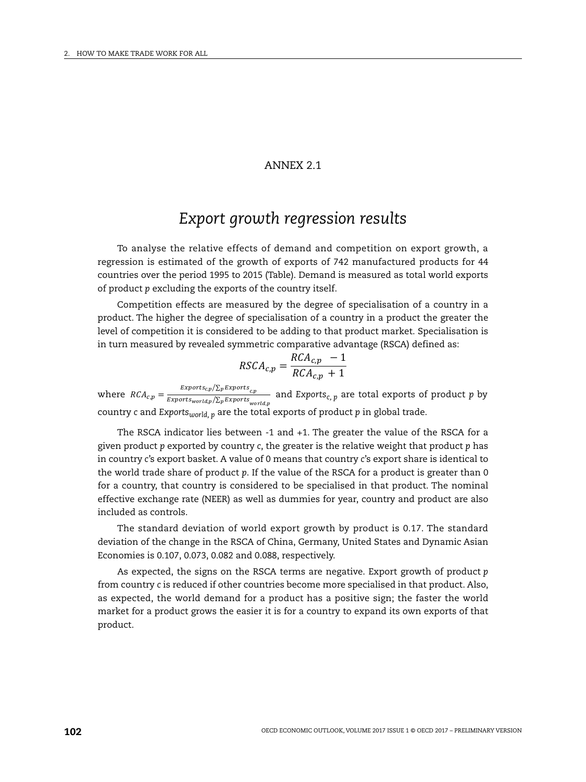## ANNEX 2.1

## *Export growth regression results*

To analyse the relative effects of demand and competition on export growth, a regression is estimated of the growth of exports of 742 manufactured products for 44 countries over the period 1995 to 2015 (Table). Demand is measured as total world exports of product *p* excluding the exports of the country itself.

Competition effects are measured by the degree of specialisation of a country in a product. The higher the degree of specialisation of a country in a product the greater the level of competition it is considered to be adding to that product market. Specialisation is in turn measured by revealed symmetric comparative advantage (RSCA) defined as:

$$
RSCA_{c,p} = \frac{RCA_{c,p} - 1}{RCA_{c,p} + 1}
$$

where  $RCA_{c,p} = \frac{C_{p}P}{E_{randts} \sqrt{2} \cdot E_{x,post}}$  and Exports<sub>c, p</sub> are total exports of product p by country *c* and *Exports<sub>world, p* are the total exports of product *p* in global trade.</sub>  $RCA_{c,p} = \frac{Exports_{cp}/\sum_{p}Exports_{cp}}{Exports_{word,p}/\sum_{p}Exports_{world,p}}$ 

The RSCA indicator lies between -1 and +1. The greater the value of the RSCA for a given product *p* exported by country *c*, the greater is the relative weight that product *p* has in country *c*'s export basket. A value of 0 means that country *c*'s export share is identical to the world trade share of product *p*. If the value of the RSCA for a product is greater than 0 for a country, that country is considered to be specialised in that product. The nominal effective exchange rate (NEER) as well as dummies for year, country and product are also included as controls.

The standard deviation of world export growth by product is 0.17. The standard deviation of the change in the RSCA of China, Germany, United States and Dynamic Asian Economies is 0.107, 0.073, 0.082 and 0.088, respectively.

As expected, the signs on the RSCA terms are negative. Export growth of product *p* from country *c* is reduced if other countries become more specialised in that product. Also, as expected, the world demand for a product has a positive sign; the faster the world market for a product grows the easier it is for a country to expand its own exports of that product.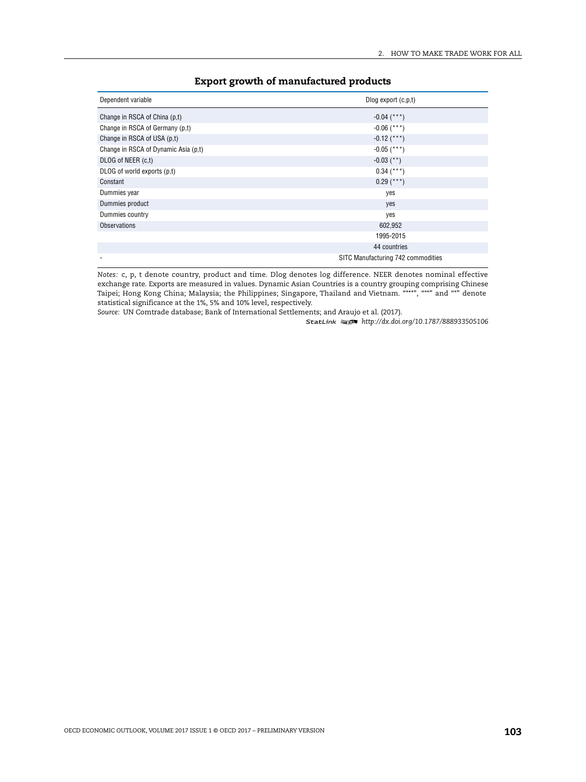| Dependent variable                   | Dlog export (c,p,t)                |  |  |  |
|--------------------------------------|------------------------------------|--|--|--|
| Change in RSCA of China (p,t)        | $-0.04$ (***)                      |  |  |  |
| Change in RSCA of Germany (p,t)      | $-0.06$ (***)                      |  |  |  |
| Change in RSCA of USA (p,t)          | $-0.12$ (***)                      |  |  |  |
| Change in RSCA of Dynamic Asia (p,t) | $-0.05$ (***)                      |  |  |  |
| DLOG of NEER (c,t)                   | $-0.03$ (**)                       |  |  |  |
| DLOG of world exports (p,t)          | $0.34$ (***)                       |  |  |  |
| Constant                             | $0.29$ (***)                       |  |  |  |
| Dummies year                         | yes                                |  |  |  |
| Dummies product                      | yes                                |  |  |  |
| Dummies country                      | yes                                |  |  |  |
| <b>Observations</b>                  | 602,952                            |  |  |  |
|                                      | 1995-2015                          |  |  |  |
|                                      | 44 countries                       |  |  |  |
|                                      | SITC Manufacturing 742 commodities |  |  |  |

## **Export growth of manufactured products**

*Notes:* c, p, t denote country, product and time. Dlog denotes log difference. NEER denotes nominal effective exchange rate. Exports are measured in values. Dynamic Asian Countries is a country grouping comprising Chinese Taipei; Hong Kong China; Malaysia; the Philippines; Singapore, Thailand and Vietnam. "\*\*\*", "\*\*" and "\*" denote statistical significance at the 1%, 5% and 10% level, respectively.

*Source:* UN Comtrade database; Bank of International Settlements; and Araujo et al. (2017).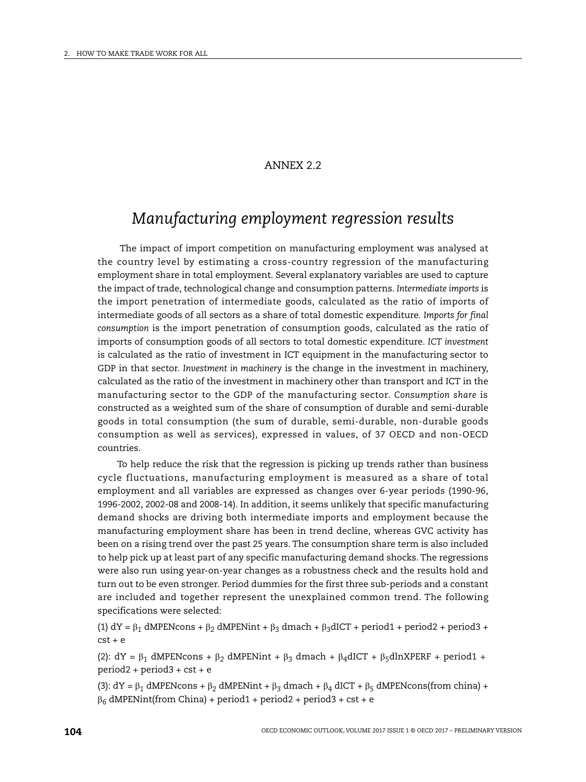## ANNEX 2.2

## *Manufacturing employment regression results*

The impact of import competition on manufacturing employment was analysed at the country level by estimating a cross-country regression of the manufacturing employment share in total employment. Several explanatory variables are used to capture the impact of trade, technological change and consumption patterns. *Intermediate imports* is the import penetration of intermediate goods, calculated as the ratio of imports of intermediate goods of all sectors as a share of total domestic expenditure. *Imports for final consumption* is the import penetration of consumption goods, calculated as the ratio of imports of consumption goods of all sectors to total domestic expenditure. *ICT investment* is calculated as the ratio of investment in ICT equipment in the manufacturing sector to GDP in that sector. *Investment in machinery* is the change in the investment in machinery, calculated as the ratio of the investment in machinery other than transport and ICT in the manufacturing sector to the GDP of the manufacturing sector. *Consumption share* is constructed as a weighted sum of the share of consumption of durable and semi-durable goods in total consumption (the sum of durable, semi-durable, non-durable goods consumption as well as services), expressed in values, of 37 OECD and non-OECD countries.

To help reduce the risk that the regression is picking up trends rather than business cycle fluctuations, manufacturing employment is measured as a share of total employment and all variables are expressed as changes over 6-year periods (1990-96, 1996-2002, 2002-08 and 2008-14). In addition, it seems unlikely that specific manufacturing demand shocks are driving both intermediate imports and employment because the manufacturing employment share has been in trend decline, whereas GVC activity has been on a rising trend over the past 25 years. The consumption share term is also included to help pick up at least part of any specific manufacturing demand shocks. The regressions were also run using year-on-year changes as a robustness check and the results hold and turn out to be even stronger. Period dummies for the first three sub-periods and a constant are included and together represent the unexplained common trend. The following specifications were selected:

(1)  $dY = \beta_1 dMPENcons + \beta_2 dMPENint + \beta_3 dmach + \beta_3 dICT + period1 + period2 + period3 +$  $cst + e$ 

(2):  $dY = \beta_1 dMPENcons + \beta_2 dMPENint + \beta_3 dmach + \beta_4 dICT + \beta_5 dlnXPERF + period1 +$ period2 + period3 + cst + e

(3):  $dY = \beta_1 dMPENcons + \beta_2 dMPENint + \beta_3 dmach + \beta_4 dICT + \beta_5 dMPENcons(from china) +$  $\beta_6$  dMPENint(from China) + period1 + period2 + period3 + cst + e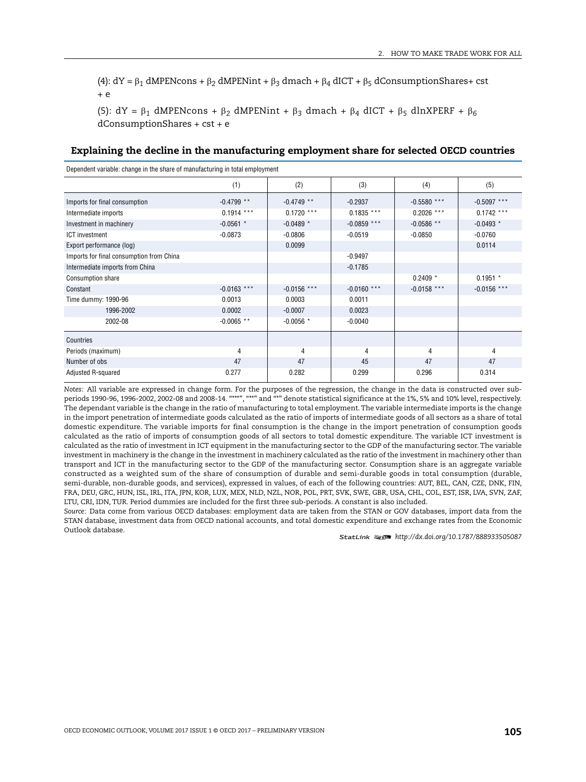(4):  $dY = \beta_1 dMPENconst + \beta_2 dMPENint + \beta_3 dmach + \beta_4 dICT + \beta_5 dConsumptionShares + cst$ + e

(5):  $dY = \beta_1 dMPENcons + \beta_2 dMPENint + \beta_3 dmach + \beta_4 dICT + \beta_5 dlnXPERF + \beta_6$ dConsumptionShares + cst + e

## **Explaining the decline in the manufacturing employment share for selected OECD countries**

Dependent variable: change in the share of manufacturing in total employment

|                                          | (1)           | (2)           | (3)           | (4)           | (5)           |
|------------------------------------------|---------------|---------------|---------------|---------------|---------------|
| Imports for final consumption            | $-0.4799**$   | $-0.4749$ **  | $-0.2937$     | $-0.5580$ *** | $-0.5097$ *** |
| Intermediate imports                     | $0.1914$ ***  | $0.1720$ ***  | $0.1835$ ***  | $0.2026$ ***  | $0.1742$ ***  |
| Investment in machinery                  | $-0.0561$ *   | $-0.0489$ *   | $-0.0859$ *** | $-0.0586$ **  | $-0.0493$ *   |
| <b>ICT</b> investment                    | $-0.0873$     | $-0.0806$     | $-0.0519$     | $-0.0850$     | $-0.0760$     |
| Export performance (log)                 |               | 0.0099        |               |               | 0.0114        |
| Imports for final consumption from China |               |               | $-0.9497$     |               |               |
| Intermediate imports from China          |               |               | $-0.1785$     |               |               |
| Consumption share                        |               |               |               | $0.2409 *$    | $0.1951$ *    |
| Constant                                 | $-0.0163$ *** | $-0.0156$ *** | $-0.0160$ *** | $-0.0158$ *** | $-0.0156$ *** |
| Time dummy: 1990-96                      | 0.0013        | 0.0003        | 0.0011        |               |               |
| 1996-2002                                | 0.0002        | $-0.0007$     | 0.0023        |               |               |
| 2002-08                                  | $-0.0065$ **  | $-0.0056$ *   | $-0.0040$     |               |               |
| Countries                                |               |               |               |               |               |
| Periods (maximum)                        | 4             | 4             | 4             | 4             | 4             |
| Number of obs                            | 47            | 47            | 45            | 47            | 47            |
| Adjusted R-squared                       | 0.277         | 0.282         | 0.299         | 0.296         | 0.314         |

*Notes:* All variable are expressed in change form. For the purposes of the regression, the change in the data is constructed over subperiods 1990-96, 1996-2002, 2002-08 and 2008-14. "\*\*\*", "\*\*" and "\*" denote statistical significance at the 1%, 5% and 10% level, respectively. The dependant variable is the change in the ratio of manufacturing to total employment. The variable intermediate imports is the change in the import penetration of intermediate goods calculated as the ratio of imports of intermediate goods of all sectors as a share of total domestic expenditure. The variable imports for final consumption is the change in the import penetration of consumption goods calculated as the ratio of imports of consumption goods of all sectors to total domestic expenditure. The variable ICT investment is calculated as the ratio of investment in ICT equipment in the manufacturing sector to the GDP of the manufacturing sector. The variable investment in machinery is the change in the investment in machinery calculated as the ratio of the investment in machinery other than transport and ICT in the manufacturing sector to the GDP of the manufacturing sector. Consumption share is an aggregate variable constructed as a weighted sum of the share of consumption of durable and semi-durable goods in total consumption (durable, semi-durable, non-durable goods, and services), expressed in values, of each of the following countries: AUT, BEL, CAN, CZE, DNK, FIN, FRA, DEU, GRC, HUN, ISL, IRL, ITA, JPN, KOR, LUX, MEX, NLD, NZL, NOR, POL, PRT, SVK, SWE, GBR, USA, CHL, COL, EST, ISR, LVA, SVN, ZAF, LTU, CRI, IDN, TUR. Period dummies are included for the first three sub-periods. A constant is also included.

*Source:* Data come from various OECD databases: employment data are taken from the STAN or GOV databases, import data from the STAN database, investment data from OECD national accounts, and total domestic expenditure and exchange rates from the Economic Outlook database.